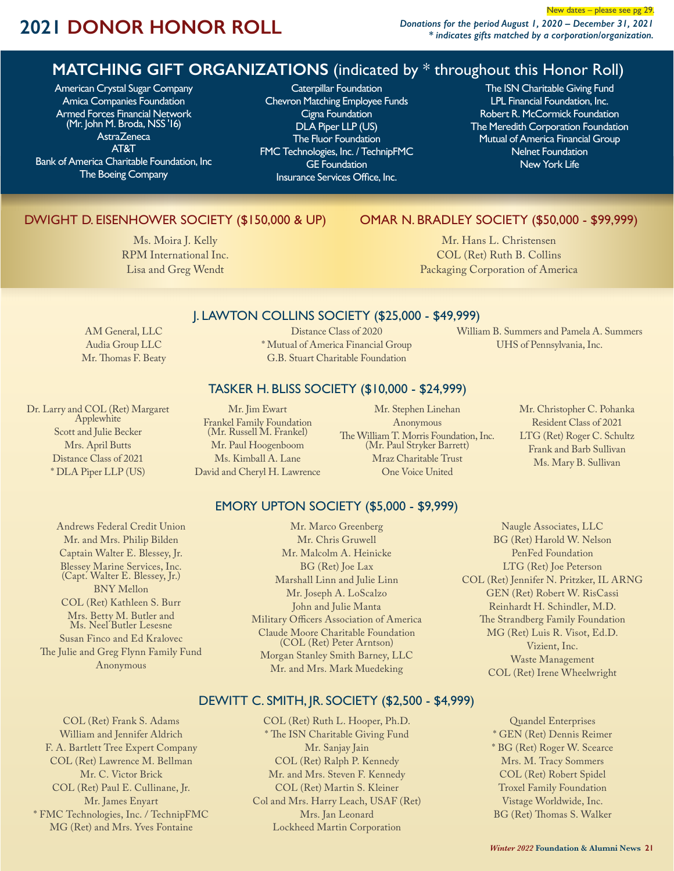# **2021 DONOR HONOR ROLL** *Donations for the period August 1, 2020 – December 31, 2021*

*\* indicates gifts matched by a corporation/organization.*

### **MATCHING GIFT ORGANIZATIONS** (indicated by \* throughout this Honor Roll)

American Crystal Sugar Company Amica Companies Foundation Armed Forces Financial Network (Mr. John M. Broda, NSS '16) **AstraZeneca** AT&T Bank of America Charitable Foundation, Inc The Boeing Company

Caterpillar Foundation Chevron Matching Employee Funds Cigna Foundation DLA Piper LLP (US) The Fluor Foundation FMC Technologies, Inc. / TechnipFMC GE Foundation Insurance Services Office, Inc.

The ISN Charitable Giving Fund LPL Financial Foundation, Inc. Robert R. McCormick Foundation The Meredith Corporation Foundation Mutual of America Financial Group Nelnet Foundation New York Life

New dates – please see pg 29.

### DWIGHT D. EISENHOWER SOCIETY (\$150,000 & UP)

Ms. Moira J. Kelly RPM International Inc. Lisa and Greg Wendt

### OMAR N. BRADLEY SOCIETY (\$50,000 - \$99,999)

Mr. Hans L. Christensen COL (Ret) Ruth B. Collins Packaging Corporation of America

### J. LAWTON COLLINS SOCIETY (\$25,000 - \$49,999)

AM General, LLC Audia Group LLC Mr. Thomas F. Beaty

Dr. Larry and COL (Ret) Margaret Applewhite Scott and Julie Becker Mrs. April Butts Distance Class of 2021 \* DLA Piper LLP (US)

Andrews Federal Credit Union Mr. and Mrs. Philip Bilden Captain Walter E. Blessey, Jr. Blessey Marine Services, Inc. (Capt. Walter E. Blessey, Jr.) BNY Mellon COL (Ret) Kathleen S. Burr Mrs. Betty M. Butler and Ms. Neel Butler Lesesne Susan Finco and Ed Kralovec The Julie and Greg Flynn Family Fund Anonymous

Distance Class of 2020 \* Mutual of America Financial Group G.B. Stuart Charitable Foundation

William B. Summers and Pamela A. Summers UHS of Pennsylvania, Inc.

### TASKER H. BLISS SOCIETY (\$10,000 - \$24,999)

Mr. Jim Ewart Frankel Family Foundation (Mr. Russell M. Frankel) Mr. Paul Hoogenboom Ms. Kimball A. Lane David and Cheryl H. Lawrence

Mr. Stephen Linehan Anonymous The William T. Morris Foundation, Inc. (Mr. Paul Stryker Barrett) Mraz Charitable Trust One Voice United

Mr. Christopher C. Pohanka Resident Class of 2021 LTG (Ret) Roger C. Schultz Frank and Barb Sullivan Ms. Mary B. Sullivan

### EMORY UPTON SOCIETY (\$5,000 - \$9,999)

Mr. Marco Greenberg Mr. Chris Gruwell Mr. Malcolm A. Heinicke BG (Ret) Joe Lax Marshall Linn and Julie Linn Mr. Joseph A. LoScalzo John and Julie Manta Military Officers Association of America Claude Moore Charitable Foundation (COL (Ret) Peter Arntson) Morgan Stanley Smith Barney, LLC Mr. and Mrs. Mark Muedeking

Naugle Associates, LLC BG (Ret) Harold W. Nelson PenFed Foundation LTG (Ret) Joe Peterson COL (Ret) Jennifer N. Pritzker, IL ARNG GEN (Ret) Robert W. RisCassi Reinhardt H. Schindler, M.D. The Strandberg Family Foundation MG (Ret) Luis R. Visot, Ed.D. Vizient, Inc. Waste Management COL (Ret) Irene Wheelwright

### DEWITT C. SMITH, JR. SOCIETY (\$2,500 - \$4,999)

COL (Ret) Frank S. Adams William and Jennifer Aldrich F. A. Bartlett Tree Expert Company COL (Ret) Lawrence M. Bellman Mr. C. Victor Brick COL (Ret) Paul E. Cullinane, Jr. Mr. James Enyart \* FMC Technologies, Inc. / TechnipFMC MG (Ret) and Mrs. Yves Fontaine

COL (Ret) Ruth L. Hooper, Ph.D. \* The ISN Charitable Giving Fund Mr. Sanjay Jain COL (Ret) Ralph P. Kennedy Mr. and Mrs. Steven F. Kennedy COL (Ret) Martin S. Kleiner Col and Mrs. Harry Leach, USAF (Ret) Mrs. Jan Leonard Lockheed Martin Corporation

Quandel Enterprises \* GEN (Ret) Dennis Reimer \* BG (Ret) Roger W. Scearce Mrs. M. Tracy Sommers COL (Ret) Robert Spidel Troxel Family Foundation Vistage Worldwide, Inc. BG (Ret) Thomas S. Walker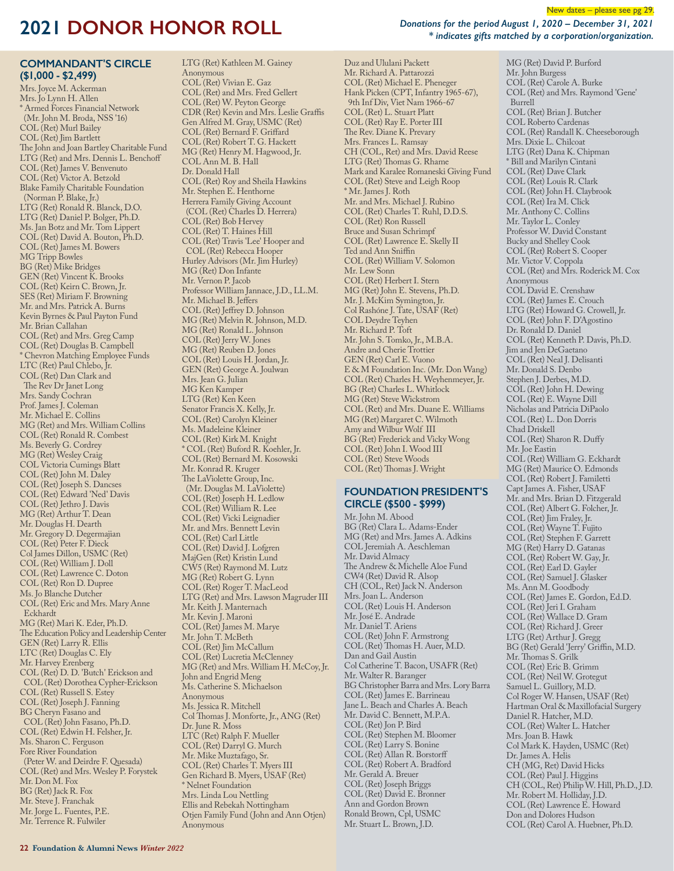*Donations for the period August 1, 2020 – December 31, 2021 \* indicates gifts matched by a corporation/organization.*

New dates – please see pg 29.

#### **COMMANDANT'S CIRCLE (\$1,000 - \$2,499)**

Mrs. Joyce M. Ackerman Mrs. Jo Lynn H. Allen \* Armed Forces Financial Network (Mr. John M. Broda, NSS '16) COL (Ret) Murl Bailey COL (Ret) Jim Bartlett The John and Joan Bartley Charitable Fund LTG (Ret) and Mrs. Dennis L. Benchoff COL (Ret) James V. Benvenuto COL (Ret) Victor A. Betzold Blake Family Charitable Foundation (Norman P. Blake, Jr.) LTG (Ret) Ronald R. Blanck, D.O. LTG (Ret) Daniel P. Bolger, Ph.D. Ms. Jan Botz and Mr. Tom Lippert COL (Ret) David A. Bouton, Ph.D. COL (Ret) James M. Bowers MG Tripp Bowles BG (Ret) Mike Bridges GEN (Ret) Vincent K. Brooks COL (Ret) Keirn C. Brown, Jr. SES (Ret) Miriam F. Browning Mr. and Mrs. Patrick A. Burns Kevin Byrnes & Paul Payton Fund Mr. Brian Callahan COL (Ret) and Mrs. Greg Camp COL (Ret) Douglas B. Campbell \* Chevron Matching Employee Funds LTC (Ret) Paul Chlebo, Jr. COL (Ret) Dan Clark and The Rev Dr Janet Long Mrs. Sandy Cochran Prof. James J. Coleman Mr. Michael E. Collins MG (Ret) and Mrs. William Collins COL (Ret) Ronald R. Combest Ms. Beverly G. Cordrey MG (Ret) Wesley Craig COL Victoria Cumings Blatt COL (Ret) John M. Daley COL (Ret) Joseph S. Dancses COL (Ret) Edward 'Ned' Davis COL (Ret) Jethro J. Davis MG (Ret) Arthur T. Dean Mr. Douglas H. Dearth Mr. Gregory D. Degermajian COL (Ret) Peter F. Dieck Col James Dillon, USMC (Ret) COL (Ret) William J. Doll COL (Ret) Lawrence C. Doton COL (Ret) Ron D. Dupree Ms. Jo Blanche Dutcher COL (Ret) Eric and Mrs. Mary Anne Eckhardt MG (Ret) Mari K. Eder, Ph.D. The Education Policy and Leadership Center GEN (Ret) Larry R. Ellis LTC (Ret) Douglas C. Ely Mr. Harvey Erenberg COL (Ret) D. D. 'Butch' Erickson and COL (Ret) Dorothea Cypher-Erickson COL (Ret) Russell S. Estey COL (Ret) Joseph J. Fanning BG Cheryn Fasano and COL (Ret) John Fasano, Ph.D. COL (Ret) Edwin H. Felsher, Jr. Ms. Sharon C. Ferguson Fore River Foundation (Peter W. and Deirdre F. Quesada) COL (Ret) and Mrs. Wesley P. Forystek Mr. Don M. Fox BG (Ret) Jack R. Fox Mr. Steve J. Franchak Mr. Jorge L. Fuentes, P.E. Mr. Terrence R. Fulwiler

COL (Ret) Vivian E. Gaz COL (Ret) and Mrs. Fred Gellert COL (Ret) W. Peyton George CDR (Ret) Kevin and Mrs. Leslie Graffis Gen Alfred M. Gray, USMC (Ret) COL (Ret) Bernard F. Griffard COL (Ret) Robert T. G. Hackett MG (Ret) Henry M. Hagwood, Jr. COL Ann M. B. Hall Dr. Donald Hall COL (Ret) Roy and Sheila Hawkins Mr. Stephen E. Henthorne Herrera Family Giving Account (COL (Ret) Charles D. Herrera) COL (Ret) Bob Hervey COL (Ret) T. Haines Hill COL (Ret) Travis 'Lee' Hooper and COL (Ret) Rebecca Hooper Hurley Advisors (Mr. Jim Hurley) MG (Ret) Don Infante Mr. Vernon P. Jacob Professor William Jannace, J.D., LL.M. Mr. Michael B. Jeffers COL (Ret) Jeffrey D. Johnson MG (Ret) Melvin R. Johnson, M.D. MG (Ret) Ronald L. Johnson COL (Ret) Jerry W. Jones MG (Ret) Reuben D. Jones COL (Ret) Louis H. Jordan, Jr. GEN (Ret) George A. Joulwan Mrs. Jean G. Julian MG Ken Kamper LTG (Ret) Ken Keen Senator Francis X. Kelly, Jr. COL (Ret) Carolyn Kleiner Ms. Madeleine Kleiner COL (Ret) Kirk M. Knight \* COL (Ret) Buford R. Koehler, Jr. COL (Ret) Bernard M. Kosowski Mr. Konrad R. Kruger The LaViolette Group, Inc. (Mr. Douglas M. LaViolette) COL (Ret) Joseph H. Ledlow COL (Ret) William R. Lee COL (Ret) Vicki Leignadier Mr. and Mrs. Bennett Levin COL (Ret) Carl Little COL (Ret) David J. Lofgren MajGen (Ret) Kristin Lund CW5 (Ret) Raymond M. Lutz MG (Ret) Robert G. Lynn COL (Ret) Roger T. MacLeod LTG (Ret) and Mrs. Lawson Magruder III Mr. Keith J. Manternach Mr. Kevin J. Maroni COL (Ret) James M. Marye Mr. John T. McBeth COL (Ret) Jim McCallum COL (Ret) Lucretia McClenney MG (Ret) and Mrs. William H. McCoy, Jr. John and Engrid Meng Ms. Catherine S. Michaelson Anonymous Ms. Jessica R. Mitchell Col Thomas J. Monforte, Jr., ANG (Ret) Dr. June R. Moss LTC (Ret) Ralph F. Mueller COL (Ret) Darryl G. Murch Mr. Mike Muztafago, Sr. COL (Ret) Charles T. Myers III Gen Richard B. Myers, USAF (Ret) \* Nelnet Foundation Mrs. Linda Lou Nettling Ellis and Rebekah Nottingham

Otjen Family Fund (John and Ann Otjen)

Anonymous

LTG (Ret) Kathleen M. Gainey

Anonymous

Mr. Richard A. Pattarozzi COL (Ret) Michael E. Pheneger Hank Picken (CPT, Infantry 1965-67), 9th Inf Div, Viet Nam 1966-67 COL (Ret) L. Stuart Platt COL (Ret) Ray E. Porter III The Rev. Diane K. Prevary Mrs. Frances L. Ramsay CH (COL, Ret) and Mrs. David Reese LTG (Ret) Thomas G. Rhame Mark and Karalee Romaneski Giving Fund COL (Ret) Steve and Leigh Roop \* Mr. James J. Roth Mr. and Mrs. Michael J. Rubino COL (Ret) Charles T. Ruhl, D.D.S. COL (Ret) Ron Russell Bruce and Susan Schrimpf COL (Ret) Lawrence E. Skelly II Ted and Ann Sniffin COL (Ret) William V. Solomon Mr. Lew Sonn COL (Ret) Herbert I. Stern MG (Ret) John E. Stevens, Ph.D. Mr. J. McKim Symington, Jr. Col Rashóne J. Tate, USAF (Ret) COL Deydre Teyhen Mr. Richard P. Toft Mr. John S. Tomko, Jr., M.B.A. Andre and Cherie Trottier GEN (Ret) Carl E. Vuono E & M Foundation Inc. (Mr. Don Wang) COL (Ret) Charles H. Weyhenmeyer, Jr. BG (Ret) Charles L. Whitlock MG (Ret) Steve Wickstrom COL (Ret) and Mrs. Duane E. Williams MG (Ret) Margaret C. Wilmoth Amy and Wilbur Wolf III BG (Ret) Frederick and Vicky Wong COL (Ret) John I. Wood III COL (Ret) Steve Woods COL (Ret) Thomas J. Wright

Duz and Ululani Packett

#### **FOUNDATION PRESIDENT'S CIRCLE (\$500 - \$999)**

Mr. John M. Abood BG (Ret) Clara L. Adams-Ender MG (Ret) and Mrs. James A. Adkins COL Jeremiah A. Aeschleman Mr. David Almacy The Andrew & Michelle Aloe Fund CW4 (Ret) David R. Alsop CH (COL, Ret) Jack N. Anderson Mrs. Joan L. Anderson COL (Ret) Louis H. Anderson Mr. José E. Andrade Mr. Daniel T. Ariens COL (Ret) John F. Armstrong COL (Ret) Thomas H. Auer, M.D. Dan and Gail Austin Col Catherine T. Bacon, USAFR (Ret) Mr. Walter R. Baranger BG Christopher Barra and Mrs. Lory Barra COL (Ret) James E. Barrineau Jane L. Beach and Charles A. Beach Mr. David C. Bennett, M.P.A. COL (Ret) Jon P. Bird COL (Ret) Stephen M. Bloomer COL (Ret) Larry S. Bonine COL (Ret) Allan R. Borstorff COL (Ret) Robert A. Bradford Mr. Gerald A. Breuer COL (Ret) Joseph Briggs COL (Ret) David E. Bronner Ann and Gordon Brown Ronald Brown, Cpl, USMC Mr. Stuart L. Brown, J.D.

MG (Ret) David P. Burford Mr. John Burgess COL (Ret) Carole A. Burke COL (Ret) and Mrs. Raymond 'Gene' Burrell COL (Ret) Brian J. Butcher COL Roberto Cardenas COL (Ret) Randall K. Cheeseborough Mrs. Dixie L. Chilcoat LTG (Ret) Dana K. Chipman \* Bill and Marilyn Cintani COL (Ret) Dave Clark COL (Ret) Louis R. Clark COL (Ret) John H. Claybrook COL (Ret) Ira M. Click Mr. Anthony C. Collins Mr. Taylor L. Conley Professor W. David Constant Bucky and Shelley Cook COL (Ret) Robert S. Cooper Mr. Victor V. Coppola COL (Ret) and Mrs. Roderick M. Cox Anonymous COL David E. Crenshaw COL (Ret) James E. Crouch LTG (Ret) Howard G. Crowell, Jr. COL (Ret) John F. D'Agostino Dr. Ronald D. Daniel COL (Ret) Kenneth P. Davis, Ph.D. Jim and Jen DeGaetano COL (Ret) Neal J. Delisanti Mr. Donald S. Denbo Stephen J. Derbes, M.D. COL (Ret) John H. Dewing COL (Ret) E. Wayne Dill Nicholas and Patricia DiPaolo COL (Ret) L. Don Dorris Chad Driskell COL (Ret) Sharon R. Duffy Mr. Joe Eastin COL (Ret) William G. Eckhardt MG (Ret) Maurice O. Edmonds COL (Ret) Robert J. Familetti Capt James A. Fisher, USAF Mr. and Mrs. Brian D. Fitzgerald COL (Ret) Albert G. Folcher, Jr. COL (Ret) Jim Fraley, Jr. COL (Ret) Wayne T. Fujito COL (Ret) Stephen F. Garrett MG (Ret) Harry D. Gatanas COL (Ret) Robert W. Gay, Jr. COL (Ret) Earl D. Gayler COL (Ret) Samuel J. Glasker Ms. Ann M. Goodbody COL (Ret) James E. Gordon, Ed.D. COL (Ret) Jeri I. Graham COL (Ret) Wallace D. Gram COL (Ret) Richard J. Greer LTG (Ret) Arthur J. Gregg BG (Ret) Gerald 'Jerry' Griffin, M.D. Mr. Thomas S. Grilk COL (Ret) Eric B. Grimm COL (Ret) Neil W. Grotegut Samuel L. Guillory, M.D. Col Roger W. Hansen, USAF (Ret) Hartman Oral & Maxillofacial Surgery Daniel R. Hatcher, M.D. COL (Ret) Walter L. Hatcher Mrs. Joan B. Hawk Col Mark K. Hayden, USMC (Ret) Dr. James A. Helis CH (MG, Ret) David Hicks COL (Ret) Paul J. Higgins CH (COL, Ret) Philip W. Hill, Ph.D., J.D. Mr. Robert M. Holliday, J.D. COL (Ret) Lawrence E. Howard Don and Dolores Hudson COL (Ret) Carol A. Huebner, Ph.D.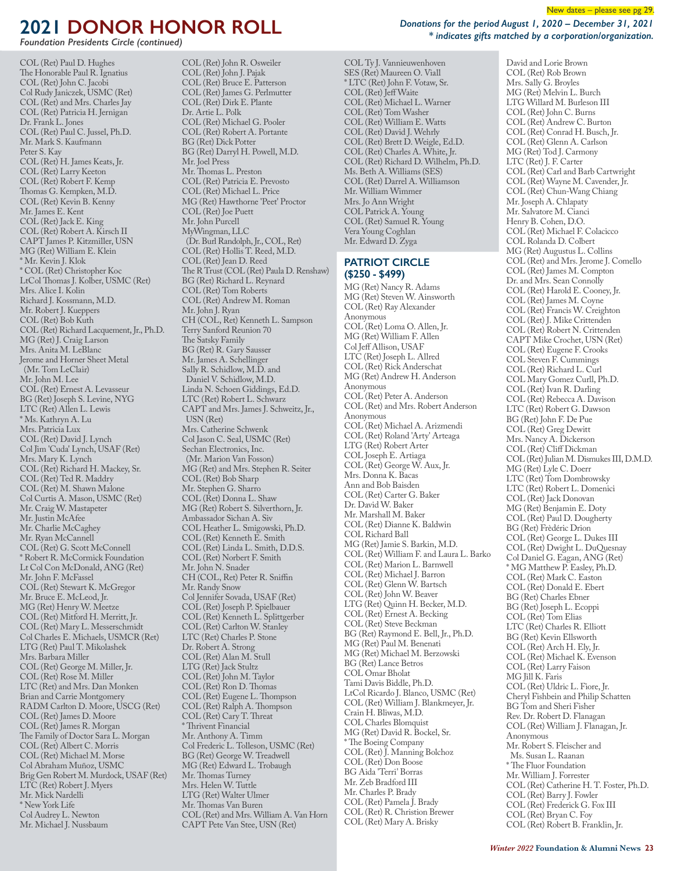*Foundation Presidents Circle (continued)*

COL (Ret) Paul D. Hughes The Honorable Paul R. Ignatius COL (Ret) John C. Jacobi Col Rudy Janiczek, USMC (Ret) COL (Ret) and Mrs. Charles Jay COL (Ret) Patricia H. Jernigan Dr. Frank L. Jones COL (Ret) Paul C. Jussel, Ph.D. Mr. Mark S. Kaufmann Peter S. Kay COL (Ret) H. James Keats, Jr. COL (Ret) Larry Keeton COL (Ret) Robert F. Kemp Thomas G. Kempken, M.D. COL (Ret) Kevin B. Kenny Mr. James E. Kent COL (Ret) Jack E. King COL (Ret) Robert A. Kirsch II CAPT James P. Kitzmiller, USN MG (Ret) William E. Klein \* Mr. Kevin J. Klok \* COL (Ret) Christopher Koc LtCol Thomas J. Kolber, USMC (Ret) Mrs. Alice I. Kolin Richard J. Kossmann, M.D. Mr. Robert J. Kueppers COL (Ret) Bob Kuth COL (Ret) Richard Lacquement, Jr., Ph.D. MG (Ret) J. Craig Larson Mrs. Anita M. LeBlanc Jerome and Horner Sheet Metal (Mr. Tom LeClair) Mr. John M. Lee COL (Ret) Ernest A. Levasseur BG (Ret) Joseph S. Levine, NYG LTC (Ret) Allen L. Lewis \* Ms. Kathryn A. Lu Mrs. Patricia Lux COL (Ret) David J. Lynch Col Jim 'Cuda' Lynch, USAF (Ret) Mrs. Mary K. Lynch COL (Ret) Richard H. Mackey, Sr. COL (Ret) Ted R. Maddry COL (Ret) M. Shawn Malone Col Curtis A. Mason, USMC (Ret) Mr. Craig W. Mastapeter Mr. Justin McAfee Mr. Charlie McCaghey Mr. Ryan McCannell COL (Ret) G. Scott McConnell \* Robert R. McCormick Foundation Lt Col Con McDonald, ANG (Ret) Mr. John F. McFassel COL (Ret) Stewart K. McGregor Mr. Bruce E. McLeod, Jr. MG (Ret) Henry W. Meetze COL (Ret) Mitford H. Merritt, Jr. COL (Ret) Mary L. Messerschmidt Col Charles E. Michaels, USMCR (Ret) LTG (Ret) Paul T. Mikolashek Mrs. Barbara Miller COL (Ret) George M. Miller, Jr. COL (Ret) Rose M. Miller LTC (Ret) and Mrs. Dan Monken Brian and Carrie Montgomery RADM Carlton D. Moore, USCG (Ret) COL (Ret) James D. Moore COL (Ret) James R. Morgan The Family of Doctor Sara L. Morgan COL (Ret) Albert C. Morris COL (Ret) Michael M. Morse Col Abraham Muñoz, USMC Brig Gen Robert M. Murdock, USAF (Ret) LTC (Ret) Robert J. Myers Mr. Mick Nardelli \* New York Life Col Audrey L. Newton Mr. Michael J. Nussbaum

COL (Ret) John R. Osweiler COL (Ret) John J. Pajak COL (Ret) Bruce E. Patterson COL (Ret) James G. Perlmutter COL (Ret) Dirk E. Plante Dr. Artie L. Polk COL (Ret) Michael G. Pooler COL (Ret) Robert A. Portante BG (Ret) Dick Potter BG (Ret) Darryl H. Powell, M.D. Mr. Joel Press Mr. Thomas L. Preston COL (Ret) Patricia E. Prevosto COL (Ret) Michael L. Price MG (Ret) Hawthorne 'Peet' Proctor COL (Ret) Joe Puett Mr. John Purcell MyWingman, LLC (Dr. Burl Randolph, Jr., COL, Ret) COL (Ret) Hollis T. Reed, M.D. COL (Ret) Jean D. Reed The R Trust (COL (Ret) Paula D. Renshaw) BG (Ret) Richard L. Reynard COL (Ret) Tom Roberts COL (Ret) Andrew M. Roman Mr. John J. Ryan CH (COL, Ret) Kenneth L. Sampson Terry Sanford Reunion 70 The Satsky Family BG (Ret) R. Gary Sausser Mr. James A. Schellinger Sally R. Schidlow, M.D. and Daniel V. Schidlow, M.D. Linda N. Schoen Giddings, Ed.D. LTC (Ret) Robert L. Schwarz CAPT and Mrs. James J. Schweitz, Jr., USN (Ret) Mrs. Catherine Schwenk Col Jason C. Seal, USMC (Ret) Sechan Electronics, Inc. (Mr. Marion Van Fosson) MG (Ret) and Mrs. Stephen R. Seiter COL (Ret) Bob Sharp Mr. Stephen G. Sharro COL (Ret) Donna L. Shaw MG (Ret) Robert S. Silverthorn, Jr. Ambassador Sichan A. Siv COL Heather L. Smigowski, Ph.D. COL (Ret) Kenneth E. Smith COL (Ret) Linda L. Smith, D.D.S. COL (Ret) Norbert F. Smith Mr. John N. Snader CH (COL, Ret) Peter R. Sniffin Mr. Randy Snow Col Jennifer Sovada, USAF (Ret) COL (Ret) Joseph P. Spielbauer COL (Ret) Kenneth L. Splittgerber COL (Ret) Carlton W. Stanley LTC (Ret) Charles P. Stone Dr. Robert A. Strong COL (Ret) Alan M. Stull LTG (Ret) Jack Stultz COL (Ret) John M. Taylor COL (Ret) Ron D. Thomas COL (Ret) Eugene L. Thompson COL (Ret) Ralph A. Thompson COL (Ret) Cary T. Threat \* Thrivent Financial Mr. Anthony A. Timm Col Frederic L. Tolleson, USMC (Ret) BG (Ret) George W. Treadwell MG (Ret) Edward L. Trobaugh Mr. Thomas Turney Mrs. Helen W. Tuttle LTG (Ret) Walter Ulmer Mr. Thomas Van Buren COL (Ret) and Mrs. William A. Van Horn CAPT Pete Van Stee, USN (Ret)

*Donations for the period August 1, 2020 – December 31, 2021 \* indicates gifts matched by a corporation/organization.*

COL Ty J. Vannieuwenhoven SES (Ret) Maureen O. Viall \* LTC (Ret) John F. Votaw, Sr. COL (Ret) Jeff Waite COL (Ret) Michael L. Warner COL (Ret) Tom Washer COL (Ret) William E. Watts COL (Ret) David J. Wehrly COL (Ret) Brett D. Weigle, Ed.D. COL (Ret) Charles A. White, Jr. COL (Ret) Richard D. Wilhelm, Ph.D. Ms. Beth A. Williams (SES) COL (Ret) Darrel A. Williamson Mr. William Wimmer Mrs. Jo Ann Wright COL Patrick A. Young COL (Ret) Samuel R. Young Vera Young Coghlan Mr. Edward D. Zyga

#### **PATRIOT CIRCLE (\$250 - \$499)**

MG (Ret) Nancy R. Adams MG (Ret) Steven W. Ainsworth COL (Ret) Ray Alexander Anonymous COL (Ret) Loma O. Allen, Jr. MG (Ret) William F. Allen Col Jeff Allison, USAF LTC (Ret) Joseph L. Allred COL (Ret) Rick Anderschat MG (Ret) Andrew H. Anderson Anonymous COL (Ret) Peter A. Anderson COL (Ret) and Mrs. Robert Anderson Anonymous COL (Ret) Michael A. Arizmendi COL (Ret) Roland 'Arty' Arteaga LTG (Ret) Robert Arter COL Joseph E. Artiaga COL (Ret) George W. Aux, Jr. Mrs. Donna K. Bacas Ann and Bob Baisden COL (Ret) Carter G. Baker Dr. David W. Baker Mr. Marshall M. Baker COL (Ret) Dianne K. Baldwin COL Richard Ball MG (Ret) Jamie S. Barkin, M.D. COL (Ret) William F. and Laura L. Barko COL (Ret) Marion L. Barnwell COL (Ret) Michael J. Barron COL (Ret) Glenn W. Bartsch COL (Ret) John W. Beaver LTG (Ret) Quinn H. Becker, M.D. COL (Ret) Ernest A. Becking COL (Ret) Steve Beckman BG (Ret) Raymond E. Bell, Jr., Ph.D. MG (Ret) Paul M. Benenati MG (Ret) Michael M. Berzowski BG (Ret) Lance Betros COL Omar Bholat Tami Davis Biddle, Ph.D. LtCol Ricardo J. Blanco, USMC (Ret) COL (Ret) William J. Blankmeyer, Jr. Crain H. Bliwas, M.D. COL Charles Blomquist MG (Ret) David R. Bockel, Sr. \* The Boeing Company COL (Ret) J. Manning Bolchoz COL (Ret) Don Boose BG Aida 'Terri' Borras Mr. Zeb Bradford III Mr. Charles P. Brady COL (Ret) Pamela J. Brady COL (Ret) R. Christion Brewer COL (Ret) Mary A. Brisky

David and Lorie Brown COL (Ret) Rob Brown Mrs. Sally G. Broyles MG (Ret) Melvin L. Burch LTG Willard M. Burleson III COL (Ret) John C. Burns COL (Ret) Andrew C. Burton COL (Ret) Conrad H. Busch, Jr. COL (Ret) Glenn A. Carlson MG (Ret) Tod J. Carmony LTC (Ret) J. F. Carter COL (Ret) Carl and Barb Cartwright COL (Ret) Wayne M. Cavender, Jr. COL (Ret) Chun-Wang Chiang Mr. Joseph A. Chlapaty Mr. Salvatore M. Cianci Henry B. Cohen, D.O. COL (Ret) Michael F. Colacicco COL Rolanda D. Colbert MG (Ret) Augustus L. Collins COL (Ret) and Mrs. Jerome J. Comello COL (Ret) James M. Compton Dr. and Mrs. Sean Connolly COL (Ret) Harold E. Cooney, Jr. COL (Ret) James M. Coyne COL (Ret) Francis W. Creighton COL (Ret) J. Mike Crittenden COL (Ret) Robert N. Crittenden CAPT Mike Crochet, USN (Ret) COL (Ret) Eugene F. Crooks COL Steven F. Cummings COL (Ret) Richard L. Curl COL Mary Gomez Curll, Ph.D. COL (Ret) Ivan R. Darling COL (Ret) Rebecca A. Davison LTC (Ret) Robert G. Dawson BG (Ret) John F. De Pue COL (Ret) Greg Dewitt Mrs. Nancy A. Dickerson COL (Ret) Cliff Dickman COL (Ret) Julian M. Dismukes III, D.M.D. MG (Ret) Lyle C. Doerr LTC (Ret) Tom Dombrowsky LTC (Ret) Robert L. Domenici COL (Ret) Jack Donovan MG (Ret) Benjamin E. Doty COL (Ret) Paul D. Dougherty BG (Ret) Frèdéric Drion COL (Ret) George L. Dukes III COL (Ret) Dwight L. DuQuesnay Col Daniel G. Eagan, ANG (Ret) \* MG Matthew P. Easley, Ph.D. COL (Ret) Mark C. Easton COL (Ret) Donald E. Ebert BG (Ret) Charles Ebner BG (Ret) Joseph L. Ecoppi COL (Ret) Tom Elias LTC (Ret) Charles R. Elliott BG (Ret) Kevin Ellsworth COL (Ret) Arch H. Ely, Jr. COL (Ret) Michael K. Evenson COL (Ret) Larry Faison MG Jill K. Faris COL (Ret) Uldric L. Fiore, Jr. Cheryl Fishbein and Philip Schatten BG Tom and Sheri Fisher Rev. Dr. Robert D. Flanagan COL (Ret) William J. Flanagan, Jr. Anonymous Mr. Robert S. Fleischer and Ms. Susan L. Raanan \* The Fluor Foundation Mr. William J. Forrester COL (Ret) Catherine H. T. Foster, Ph.D. COL (Ret) Barry J. Fowler COL (Ret) Frederick G. Fox III COL (Ret) Bryan C. Foy COL (Ret) Robert B. Franklin, Jr.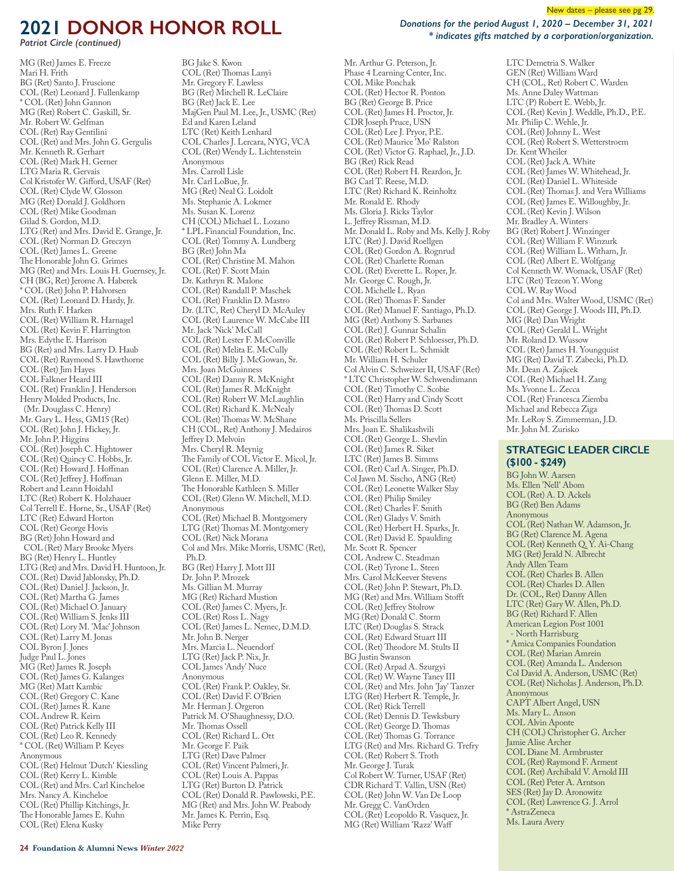*Patriot Circle (continued)*

MG (Ret) James E. Freeze Mari H. Frith BG (Ret) Santo J. Fruscione COL (Ret) Leonard J. Fullenkamp \* COL (Ret) John Gannon MG (Ret) Robert C. Gaskill, Sr. Mr. Robert W. Gelfman COL (Ret) Ray Gentilini COL (Ret) and Mrs. John G. Gergulis Mr. Kenneth R. Gerhart COL (Ret) Mark H. Gerner LTG Maria R. Gervais Col Kristofer W. Gifford, USAF (Ret) COL (Ret) Clyde W. Glosson MG (Ret) Donald J. Goldhorn COL (Ret) Mike Goodman Gilad S. Gordon, M.D. LTG (Ret) and Mrs. David E. Grange, Jr. COL (Ret) Norman D. Greczyn COL (Ret) James L. Greene The Honorable John G. Grimes MG (Ret) and Mrs. Louis H. Guernsey, Jr. CH (BG, Ret) Jerome A. Haberek \* COL (Ret) John P. Halvorsen COL (Ret) Leonard D. Hardy, Jr. Mrs. Ruth F. Harken COL (Ret) William R. Harnagel COL (Ret) Kevin F. Harrington Mrs. Edythe E. Harrison BG (Ret) and Mrs. Larry D. Haub COL (Ret) Raymond S. Hawthorne COL (Ret) Jim Hayes COL Falkner Heard III COL (Ret) Franklin J. Henderson Henry Molded Products, Inc. (Mr. Douglass C. Henry) Mr. Gary L. Hess, GM15 (Ret) COL (Ret) John J. Hickey, Jr. Mr. John P. Higgins COL (Ret) Joseph C. Hightower COL (Ret) Quincy C. Hobbs, Jr. COL (Ret) Howard J. Hoffman COL (Ret) Jeffrey J. Hoffman Robert and Leann Hoidahl LTC (Ret) Robert K. Holzhauer Col Terrell E. Horne, Sr., USAF (Ret) LTC (Ret) Edward Horton COL (Ret) George Hovis BG (Ret) John Howard and COL (Ret) Mary Brooke Myers BG (Ret) Henry L. Huntley LTG (Ret) and Mrs. David H. Huntoon, Jr. COL (Ret) David Jablonsky, Ph.D. COL (Ret) Daniel J. Jackson, Jr. COL (Ret) Martha G. James COL (Ret) Michael O. January COL (Ret) William S. Jenks III COL (Ret) Lory M. 'Mac' Johnson COL (Ret) Larry M. Jonas COL Byron J. Jones Judge Paul L. Jones MG (Ret) James R. Joseph COL (Ret) James G. Kalanges MG (Ret) Matt Kambic COL (Ret) Gregory C. Kane COL (Ret) James R. Kane COL Andrew R. Keirn COL (Ret) Patrick Kelly III COL (Ret) Leo R. Kennedy \* COL (Ret) William P. Keyes Anonymous COL (Ret) Helmut 'Dutch' Kiessling COL (Ret) Kerry L. Kimble COL (Ret) and Mrs. Carl Kincheloe Mrs. Nancy A. Kincheloe COL (Ret) Phillip Kitchings, Jr. The Honorable James E. Kuhn COL (Ret) Elena Kusky

BG Jake S. Kwon COL (Ret) Thomas Lanyi Mr. Gregory F. Lawless BG (Ret) Mitchell R. LeClaire BG (Ret) Jack E. Lee MajGen Paul M. Lee, Jr., USMC (Ret) Ed and Karen Leland LTC (Ret) Keith Lenhard COL Charles J. Lercara, NYG, VCA COL (Ret) Wendy L. Lichtenstein Anonymous Mrs. Carroll Lisle Mr. Carl LoBue, Jr. MG (Ret) Neal G. Loidolt Ms. Stephanie A. Lokmer Ms. Susan K. Lorenz CH (COL) Michael L. Lozano \* LPL Financial Foundation, Inc. COL (Ret) Tommy A. Lundberg BG (Ret) John Ma COL (Ret) Christine M. Mahon COL (Ret) F. Scott Main Dr. Kathryn R. Malone COL (Ret) Randall P. Maschek COL (Ret) Franklin D. Mastro Dr. (LTC, Ret) Cheryl D. McAuley COL (Ret) Laurence W. McCabe III Mr. Jack 'Nick' McCall COL (Ret) Lester F. McConville COL (Ret) Melita E. McCully COL (Ret) Billy J. McGowan, Sr. Mrs. Joan McGuinness COL (Ret) Danny R. McKnight COL (Ret) James R. McKnight COL (Ret) Robert W. McLaughlin COL (Ret) Richard K. McNealy COL (Ret) Thomas W. McShane CH (COL, Ret) Anthony J. Medairos Jeffrey D. Melvoin Mrs. Cheryl R. Meynig The Family of COL Victor E. Micol, Jr. COL (Ret) Clarence A. Miller, Jr. Glenn E. Miller, M.D. The Honorable Kathleen S. Miller COL (Ret) Glenn W. Mitchell, M.D. Anonymous COL (Ret) Michael B. Montgomery LTG (Ret) Thomas M. Montgomery COL (Ret) Nick Morana Col and Mrs. Mike Morris, USMC (Ret), Ph.D. BG (Ret) Harry J. Mott III Dr. John P. Mrozek Ms. Gillian M. Murray MG (Ret) Richard Mustion COL (Ret) James C. Myers, Jr. COL (Ret) Ross L. Nagy COL (Ret) James L. Nemec, D.M.D. Mr. John B. Nerger Mrs. Marcia L. Neuendorf LTG (Ret) Jack P. Nix, Jr. COL James 'Andy' Nuce Anonymous COL (Ret) Frank P. Oakley, Sr. COL (Ret) David F. O'Brien Mr. Herman J. Orgeron Patrick M. O'Shaughnessy, D.O. Mr. Thomas Ossell COL (Ret) Richard L. Ott Mr. George F. Paik LTG (Ret) Dave Palmer COL (Ret) Vincent Palmeri, Jr. COL (Ret) Louis A. Pappas LTG (Ret) Burton D. Patrick COL (Ret) Donald R. Pawlowski, P.E. MG (Ret) and Mrs. John W. Peabody Mr. James K. Perrin, Esq. Mike Perry

New dates – please see pg 29.

*Donations for the period August 1, 2020 – December 31, 2021 \* indicates gifts matched by a corporation/organization.*

Mr. Arthur G. Peterson, Jr. Phase 4 Learning Center, Inc. COL Mike Ponchak COL (Ret) Hector R. Ponton BG (Ret) George B. Price COL (Ret) James H. Proctor, Jr. CDR Joseph Pruce, USN COL (Ret) Lee J. Pryor, P.E. COL (Ret) Maurice 'Mo' Ralston COL (Ret) Victor G. Raphael, Jr., J.D. BG (Ret) Rick Read COL (Ret) Robert H. Reardon, Jr. BG Carl T. Reese, M.D. LTC (Ret) Richard K. Reinholtz Mr. Ronald E. Rhody Ms. Gloria J. Ricks Taylor L. Jeffrey Rissman, M.D. Mr. Donald L. Roby and Ms. Kelly J. Roby LTC (Ret) J. David Roellgen COL (Ret) Gordon A. Rognrud COL (Ret) Charlette Roman COL (Ret) Everette L. Roper, Jr. Mr. George C. Rough, Jr. COL Michelle L. Ryan COL (Ret) Thomas F. Sander COL (Ret) Manuel F. Santiago, Ph.D. MG (Ret) Anthony S. Sarbanes COL (Ret) J. Gunnar Schalin COL (Ret) Robert P. Schloesser, Ph.D. COL (Ret) Robert L. Schmidt Mr. William H. Schuler Col Alvin C. Schweizer II, USAF (Ret) \* LTC Christopher W. Schwendimann COL (Ret) Timothy C. Scobie COL (Ret) Harry and Cindy Scott COL (Ret) Thomas D. Scott Ms. Priscilla Sellers Mrs. Joan E. Shalikashvili COL (Ret) George L. Shevlin COL (Ret) James R. Siket LTC (Ret) James B. Simms COL (Ret) Carl A. Singer, Ph.D. Col Jawn M. Sischo, ANG (Ret) COL (Ret) Leonette Walker Slay COL (Ret) Philip Smiley COL (Ret) Charles F. Smith COL (Ret) Gladys V. Smith COL (Ret) Herbert H. Sparks, Jr. COL (Ret) David E. Spaulding Mr. Scott R. Spencer COL Andrew C. Steadman COL (Ret) Tyrone L. Steen Mrs. Carol McKeever Stevens COL (Ret) John P. Stewart, Ph.D. MG (Ret) and Mrs. William Stofft COL (Ret) Jeffrey Stolrow MG (Ret) Donald C. Storm LTC (Ret) Douglas S. Strack COL (Ret) Edward Stuart III COL (Ret) Theodore M. Stults II BG Justin Swanson COL (Ret) Arpad A. Szurgyi COL (Ret) W. Wayne Taney III COL (Ret) and Mrs. John 'Jay' Tanzer LTG (Ret) Herbert R. Temple, Jr. COL (Ret) Rick Terrell COL (Ret) Dennis D. Tewksbury COL (Ret) George D. Thomas COL (Ret) Thomas G. Torrance LTG (Ret) and Mrs. Richard G. Trefry COL (Ret) Robert S. Troth Mr. George J. Turak Col Robert W. Turner, USAF (Ret) CDR Richard T. Vallin, USN (Ret) COL (Ret) John W. Van De Loop Mr. Gregg C. VanOrden COL (Ret) Leopoldo R. Vasquez, Jr. MG (Ret) William 'Razz' Waff

LTC Demetria S. Walker GEN (Ret) William Ward CH (COL, Ret) Robert C. Warden Ms. Anne Daley Wattman LTC (P) Robert E. Webb, Jr. COL (Ret) Kevin J. Weddle, Ph.D., P.E. Mr. Philip C. Wehle, Jr. COL (Ret) Johnny L. West COL (Ret) Robert S. Wetterstroem Dr. Kent Wheiler COL (Ret) Jack A. White COL (Ret) James W. Whitehead, Jr. COL (Ret) Daniel L. Whiteside COL (Ret) Thomas J. and Vera Williams COL (Ret) James E. Willoughby, Jr. COL (Ret) Kevin J. Wilson Mr. Bradley A. Winters BG (Ret) Robert J. Winzinger COL (Ret) William F. Winzurk COL (Ret) William L. Witham, Jr. COL (Ret) Albert E. Wolfgang Col Kenneth W. Womack, USAF (Ret) LTC (Ret) Tezeon Y. Wong COL W. Ray Wood Col and Mrs. Walter Wood, USMC (Ret) COL (Ret) George J. Woods III, Ph.D. MG (Ret) Dan Wright COL (Ret) Gerald L. Wright Mr. Roland D. Wussow COL (Ret) James H. Youngquist MG (Ret) David T. Zabecki, Ph.D. Mr. Dean A. Zajicek COL (Ret) Michael H. Zang Ms. Yvonne L. Zecca COL (Ret) Francesca Ziemba Michael and Rebecca Ziga Mr. LeRoy S. Zimmerman, J.D. Mr. John M. Zurisko

#### **STRATEGIC LEADER CIRCLE (\$100 - \$249)**

BG John W. Aarsen Ms. Ellen 'Nell' Abom COL (Ret) A. D. Ackels BG (Ret) Ben Adams Anonymous COL (Ret) Nathan W. Adamson, Jr. BG (Ret) Clarence M. Agena COL (Ret) Kenneth Q. Y. Ai-Chang MG (Ret) Jerald N. Albrecht Andy Allen Team COL (Ret) Charles B. Allen COL (Ret) Charles D. Allen Dr. (COL, Ret) Danny Allen LTC (Ret) Gary W. Allen, Ph.D. BG (Ret) Richard F. Allen American Legion Post 1001 - North Harrisburg \* Amica Companies Foundation COL (Ret) Marian Amrein COL (Ret) Amanda L. Anderson Col David A. Anderson, USMC (Ret) COL (Ret) Nicholas J. Anderson, Ph.D. Anonymous CAPT Albert Angel, USN Ms. Mary L. Anson COL Alvin Aponte CH (COL) Christopher G. Archer Jamie Alise Archer COL Diane M. Armbruster COL (Ret) Raymond F. Arment COL (Ret) Archibald V. Arnold III COL (Ret) Peter A. Arntson SES (Ret) Jay D. Aronowitz COL (Ret) Lawrence G. J. Arrol \* AstraZeneca Ms. Laura Avery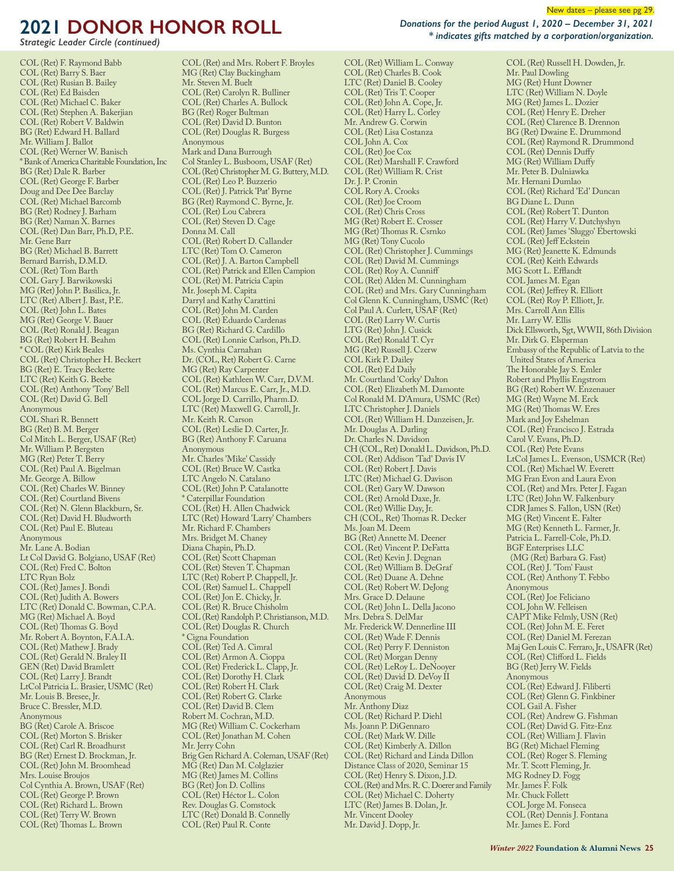*Strategic Leader Circle (continued)*

COL (Ret) F. Raymond Babb COL (Ret) Barry S. Baer COL (Ret) Rusian B. Bailey COL (Ret) Ed Baisden COL (Ret) Michael C. Baker COL (Ret) Stephen A. Bakerjian COL (Ret) Robert V. Baldwin BG (Ret) Edward H. Ballard Mr. William J. Ballot COL (Ret) Werner W. Banisch \* Bank of America Charitable Foundation, Inc BG (Ret) Dale R. Barber COL (Ret) George F. Barber Doug and Dee Dee Barclay COL (Ret) Michael Barcomb BG (Ret) Rodney J. Barham BG (Ret) Naman X. Barnes COL (Ret) Dan Barr, Ph.D, P.E. Mr. Gene Barr BG (Ret) Michael B. Barrett Bernard Barrish, D.M.D. COL (Ret) Tom Barth COL Gary J. Barwikowski MG (Ret) John P. Basilica, Jr. LTC (Ret) Albert J. Bast, P.E. COL (Ret) John L. Bates MG (Ret) George V. Bauer COL (Ret) Ronald J. Beagan BG (Ret) Robert H. Beahm \* COL (Ret) Kirk Beales COL (Ret) Christopher H. Beckert BG (Ret) E. Tracy Beckette LTC (Ret) Keith G. Beebe COL (Ret) Anthony 'Tony' Bell COL (Ret) David G. Bell Anonymous COL Shari R. Bennett BG (Ret) B. M. Berger Col Mitch L. Berger, USAF (Ret) Mr. William P. Bergsten MG (Ret) Peter T. Berry COL (Ret) Paul A. Bigelman Mr. George A. Billow COL (Ret) Charles W. Binney COL (Ret) Courtland Bivens COL (Ret) N. Glenn Blackburn, Sr. COL (Ret) David H. Bludworth COL (Ret) Paul E. Bluteau Anonymous Mr. Lane A. Bodian Lt Col David G. Bolgiano, USAF (Ret) COL (Ret) Fred C. Bolton LTC Ryan Bolz COL (Ret) James J. Bondi COL (Ret) Judith A. Bowers LTC (Ret) Donald C. Bowman, C.P.A. MG (Ret) Michael A. Boyd COL (Ret) Thomas G. Boyd Mr. Robert A. Boynton, F.A.I.A. COL (Ret) Mathew J. Brady COL (Ret) Gerald N. Braley II GEN (Ret) David Bramlett COL (Ret) Larry J. Brandt LtCol Patricia L. Brasier, USMC (Ret) Mr. Louis B. Bresee, Jr. Bruce C. Bressler, M.D. Anonymous BG (Ret) Carole A. Briscoe COL (Ret) Morton S. Brisker COL (Ret) Carl R. Broadhurst BG (Ret) Ernest D. Brockman, Jr. COL (Ret) John M. Broomhead Mrs. Louise Broujos Col Cynthia A. Brown, USAF (Ret) COL (Ret) George P. Brown COL (Ret) Richard L. Brown COL (Ret) Terry W. Brown COL (Ret) Thomas L. Brown

COL (Ret) and Mrs. Robert F. Broyles MG (Ret) Clay Buckingham Mr. Steven M. Buelt COL (Ret) Carolyn R. Bulliner COL (Ret) Charles A. Bullock BG (Ret) Roger Bultman COL (Ret) David D. Bunton COL (Ret) Douglas R. Burgess Anonymous Mark and Dana Burrough Col Stanley L. Busboom, USAF (Ret) COL (Ret) Christopher M. G. Buttery, M.D. COL (Ret) Leo P. Buzzerio COL (Ret) J. Patrick 'Pat' Byrne BG (Ret) Raymond C. Byrne, Jr. COL (Ret) Lou Cabrera COL (Ret) Steven D. Cage Donna M. Call COL (Ret) Robert D. Callander LTC (Ret) Tom O. Cameron COL (Ret) J. A. Barton Campbell COL (Ret) Patrick and Ellen Campion COL (Ret) M. Patricia Capin Mr. Joseph M. Capita Darryl and Kathy Carattini COL (Ret) John M. Carden COL (Ret) Eduardo Cardenas BG (Ret) Richard G. Cardillo COL (Ret) Lonnie Carlson, Ph.D. Ms. Cynthia Carnahan Dr. (COL, Ret) Robert G. Carne MG (Ret) Ray Carpenter COL (Ret) Kathleen W. Carr, D.V.M. COL (Ret) Marcus E. Carr, Jr., M.D. COL Jorge D. Carrillo, Pharm.D. LTC (Ret) Maxwell G. Carroll, Jr. Mr. Keith R. Carson COL (Ret) Leslie D. Carter, Jr. BG (Ret) Anthony F. Caruana Anonymous Mr. Charles 'Mike' Cassidy COL (Ret) Bruce W. Castka LTC Angelo N. Catalano COL (Ret) John P. Catalanotte \* Caterpillar Foundation COL (Ret) H. Allen Chadwick LTC (Ret) Howard 'Larry' Chambers Mr. Richard F. Chambers Mrs. Bridget M. Chaney Diana Chapin, Ph.D. COL (Ret) Scott Chapman COL (Ret) Steven T. Chapman LTC (Ret) Robert P. Chappell, Jr. COL (Ret) Samuel L. Chappell COL (Ret) Jon E. Chicky, Jr. COL (Ret) R. Bruce Chisholm COL (Ret) Randolph P. Christianson, M.D. COL (Ret) Douglas R. Church \* Cigna Foundation COL (Ret) Ted A. Cimral COL (Ret) Armon A. Cioppa COL (Ret) Frederick L. Clapp, Jr. COL (Ret) Dorothy H. Clark COL (Ret) Robert H. Clark COL (Ret) Robert G. Clarke COL (Ret) David B. Clem Robert M. Cochran, M.D. MG (Ret) William C. Cockerham COL (Ret) Jonathan M. Cohen Mr. Jerry Cohn Brig Gen Richard A. Coleman, USAF (Ret) MG (Ret) Dan M. Colglazier MG (Ret) James M. Collins BG (Ret) Jon D. Collins COL (Ret) Héctor L. Colon Rev. Douglas G. Comstock LTC (Ret) Donald B. Connelly COL (Ret) Paul R. Conte

*Donations for the period August 1, 2020 – December 31, 2021 \* indicates gifts matched by a corporation/organization.*

COL (Ret) William L. Conway COL (Ret) Charles B. Cook LTC (Ret) Daniel B. Cooley COL (Ret) Tris T. Cooper COL (Ret) John A. Cope, Jr. COL (Ret) Harry L. Corley Mr. Andrew G. Corwin COL (Ret) Lisa Costanza COL John A. Cox COL (Ret) Joe Cox COL (Ret) Marshall F. Crawford COL (Ret) William R. Crist Dr. J. P. Cronin COL Rory A. Crooks COL (Ret) Joe Croom COL (Ret) Chris Cross MG (Ret) Robert E. Crosser MG (Ret) Thomas R. Csrnko MG (Ret) Tony Cucolo COL (Ret) Christopher J. Cummings COL (Ret) David M. Cummings COL (Ret) Roy A. Cunniff COL (Ret) Alden M. Cunningham COL (Ret) and Mrs. Gary Cunningham Col Glenn K. Cunningham, USMC (Ret) Col Paul A. Curlett, USAF (Ret) COL (Ret) Larry W. Curtis LTG (Ret) John J. Cusick COL (Ret) Ronald T. Cyr MG (Ret) Russell J. Czerw COL Kirk P. Dailey COL (Ret) Ed Daily Mr. Courtland 'Corky' Dalton COL (Ret) Elizabeth M. Damonte Col Ronald M. D'Amura, USMC (Ret) LTC Christopher J. Daniels COL (Ret) William H. Danzeisen, Jr. Mr. Douglas A. Darling Dr. Charles N. Davidson CH (COL, Ret) Donald L. Davidson, Ph.D. COL (Ret) Addison 'Tad' Davis IV COL (Ret) Robert J. Davis LTC (Ret) Michael G. Davison COL (Ret) Gary W. Dawson COL (Ret) Arnold Daxe, Jr. COL (Ret) Willie Day, Jr. CH (COL, Ret) Thomas R. Decker Ms. Joan M. Deem BG (Ret) Annette M. Deener COL (Ret) Vincent P. DeFatta COL (Ret) Kevin J. Degnan COL (Ret) William B. DeGraf COL (Ret) Duane A. Dehne COL (Ret) Robert W. DeJong Mrs. Grace D. Delaune COL (Ret) John L. Della Jacono Mrs. Debra S. DelMar Mr. Frederick W. Dennerline III COL (Ret) Wade F. Dennis COL (Ret) Perry F. Denniston COL (Ret) Morgan Denny COL (Ret) LeRoy L. DeNooyer COL (Ret) David D. DeVoy II COL (Ret) Craig M. Dexter Anonymous Mr. Anthony Diaz COL (Ret) Richard P. Diehl Ms. Joann P. DiGennaro COL (Ret) Mark W. Dille COL (Ret) Kimberly A. Dillon COL (Ret) Richard and Linda Dillon Distance Class of 2020, Seminar 15 COL (Ret) Henry S. Dixon, J.D. COL (Ret) and Mrs. R. C. Doerer and Family COL (Ret) Michael C. Doherty LTC (Ret) James B. Dolan, Jr. Mr. Vincent Dooley Mr. David J. Dopp, Jr.

COL (Ret) Russell H. Dowden, Jr. Mr. Paul Dowling MG (Ret) Hunt Downer LTC (Ret) William N. Doyle MG (Ret) James L. Dozier COL (Ret) Henry E. Dreher COL (Ret) Clarence B. Drennon BG (Ret) Dwaine E. Drummond COL (Ret) Raymond R. Drummond COL (Ret) Dennis Duffy MG (Ret) William Duffy Mr. Peter B. Dulniawka Mr. Hernani Dumlao COL (Ret) Richard 'Ed' Duncan BG Diane L. Dunn COL (Ret) Robert T. Dunton COL (Ret) Harry V. Dutchyshyn COL (Ret) James 'Sluggo' Ebertowski COL (Ret) Jeff Eckstein MG (Ret) Jeanette K. Edmunds COL (Ret) Keith Edwards MG Scott L. Efflandt COL James M. Egan COL (Ret) Jeffrey R. Elliott COL (Ret) Roy P. Elliott, Jr. Mrs. Carroll Ann Ellis Mr. Larry W. Ellis Dick Ellsworth, Sgt, WWII, 86th Division Mr. Dirk G. Elsperman Embassy of the Republic of Latvia to the United States of America The Honorable Jay S. Emler Robert and Phyllis Engstrom BG (Ret) Robert W. Enzenauer MG (Ret) Wayne M. Erck MG (Ret) Thomas W. Eres Mark and Joy Eshelman COL (Ret) Francisco J. Estrada Carol V. Evans, Ph.D. COL (Ret) Pete Evans LtCol James L. Evenson, USMCR (Ret) COL (Ret) Michael W. Everett MG Fran Evon and Laura Evon COL (Ret) and Mrs. Peter J. Fagan LTC (Ret) John W. Falkenbury CDR James S. Fallon, USN (Ret) MG (Ret) Vincent E. Falter MG (Ret) Kenneth L. Farmer, Jr. Patricia L. Farrell-Cole, Ph.D. BGF Enterprises LLC (MG (Ret) Barbara G. Fast) COL (Ret) J. 'Tom' Faust COL (Ret) Anthony T. Febbo Anonymous COL (Ret) Joe Feliciano COL John W. Felleisen CAPT Mike Felmly, USN (Ret) COL (Ret) John M. E. Feret COL (Ret) Daniel M. Ferezan Maj Gen Louis C. Ferraro, Jr., USAFR (Ret) COL (Ret) Clifford L. Fields BG (Ret) Jerry W. Fields Anonymous COL (Ret) Edward J. Filiberti COL (Ret) Glenn G. Finkbiner COL Gail A. Fisher COL (Ret) Andrew G. Fishman COL (Ret) David G. Fitz-Enz COL (Ret) William J. Flavin BG (Ret) Michael Fleming COL (Ret) Roger S. Fleming Mr. T. Scott Fleming, Jr. MG Rodney D. Fogg Mr. James F. Folk Mr. Chuck Follett COL Jorge M. Fonseca COL (Ret) Dennis J. Fontana Mr. James E. Ford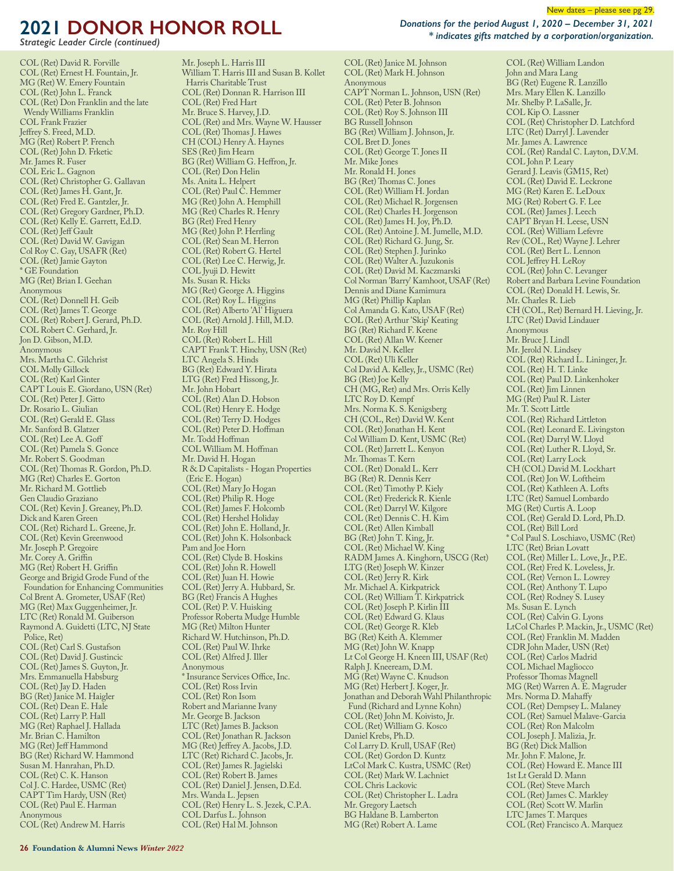*Strategic Leader Circle (continued)*

COL (Ret) David R. Forville COL (Ret) Ernest H. Fountain, Jr. MG (Ret) W. Emery Fountain COL (Ret) John L. Franck COL (Ret) Don Franklin and the late Wendy Williams Franklin COL Frank Frazier Jeffrey S. Freed, M.D. MG (Ret) Robert P. French COL (Ret) John D. Frketic Mr. James R. Fuser COL Eric L. Gagnon COL (Ret) Christopher G. Gallavan COL (Ret) James H. Gant, Jr. COL (Ret) Fred E. Gantzler, Jr. COL (Ret) Gregory Gardner, Ph.D. COL (Ret) Kelly E. Garrett, Ed.D. COL (Ret) Jeff Gault COL (Ret) David W. Gavigan Col Roy C. Gay, USAFR (Ret) COL (Ret) Jamie Gayton \* GE Foundation MG (Ret) Brian I. Geehan Anonymous COL (Ret) Donnell H. Geib COL (Ret) James T. George COL (Ret) Robert J. Gerard, Ph.D. COL Robert C. Gerhard, Jr. Jon D. Gibson, M.D. Anonymous Mrs. Martha C. Gilchrist COL Molly Gillock COL (Ret) Karl Ginter CAPT Louis E. Giordano, USN (Ret) COL (Ret) Peter J. Gitto Dr. Rosario L. Giulian COL (Ret) Gerald E. Glass Mr. Sanford B. Glatzer COL (Ret) Lee A. Goff COL (Ret) Pamela S. Gonce Mr. Robert S. Goodman COL (Ret) Thomas R. Gordon, Ph.D. MG (Ret) Charles E. Gorton Mr. Richard M. Gottlieb Gen Claudio Graziano COL (Ret) Kevin J. Greaney, Ph.D. Dick and Karen Green COL (Ret) Richard L. Greene, Jr. COL (Ret) Kevin Greenwood Mr. Joseph P. Gregoire Mr. Corey A. Griffin MG (Ret) Robert H. Griffin George and Brigid Grode Fund of the Foundation for Enhancing Communities Col Brent A. Grometer, USAF (Ret) MG (Ret) Max Guggenheimer, Jr. LTC (Ret) Ronald M. Guiberson Raymond A. Guidetti (LTC, NJ State Police, Ret) COL (Ret) Carl S. Gustafson COL (Ret) David J. Gustincic COL (Ret) James S. Guyton, Jr. Mrs. Emmanuella Habsburg COL (Ret) Jay D. Haden BG (Ret) Janice M. Haigler COL (Ret) Dean E. Hale COL (Ret) Larry P. Hall MG (Ret) Raphael J. Hallada Mr. Brian C. Hamilton MG (Ret) Jeff Hammond BG (Ret) Richard W. Hammond Susan M. Hanrahan, Ph.D. COL (Ret) C. K. Hanson Col J. C. Hardee, USMC (Ret) CAPT Tim Hardy, USN (Ret) COL (Ret) Paul E. Harman Anonymous COL (Ret) Andrew M. Harris

Mr. Joseph L. Harris III William T. Harris III and Susan B. Kollet Harris Charitable Trust COL (Ret) Donnan R. Harrison III COL (Ret) Fred Hart Mr. Bruce S. Harvey, J.D. COL (Ret) and Mrs. Wayne W. Hausser COL (Ret) Thomas J. Hawes CH (COL) Henry A. Haynes SES (Ret) Jim Hearn BG (Ret) William G. Heffron, Jr. COL (Ret) Don Helin Ms. Anita L. Helpert COL (Ret) Paul C. Hemmer MG (Ret) John A. Hemphill MG (Ret) Charles R. Henry BG (Ret) Fred Henry MG (Ret) John P. Herrling COL (Ret) Sean M. Herron COL (Ret) Robert G. Hertel COL (Ret) Lee C. Herwig, Jr. COL Jyuji D. Hewitt Ms. Susan R. Hicks MG (Ret) George A. Higgins COL (Ret) Roy L. Higgins COL (Ret) Alberto 'Al' Higuera COL (Ret) Arnold J. Hill, M.D. Mr. Roy Hill COL (Ret) Robert L. Hill CAPT Frank T. Hinchy, USN (Ret) LTC Angela S. Hinds BG (Ret) Edward Y. Hirata LTG (Ret) Fred Hissong, Jr. Mr. John Hobart COL (Ret) Alan D. Hobson COL (Ret) Henry E. Hodge COL (Ret) Terry D. Hodges COL (Ret) Peter D. Hoffman Mr. Todd Hoffman COL William M. Hoffman Mr. David H. Hogan R & D Capitalists - Hogan Properties (Eric E. Hogan) COL (Ret) Mary Jo Hogan COL (Ret) Philip R. Hoge COL (Ret) James F. Holcomb COL (Ret) Hershel Holiday COL (Ret) John E. Holland, Jr. COL (Ret) John K. Holsonback Pam and Joe Horn COL (Ret) Clyde B. Hoskins COL (Ret) John R. Howell COL (Ret) Juan H. Howie COL (Ret) Jerry A. Hubbard, Sr. BG (Ret) Francis A Hughes COL (Ret) P. V. Huisking Professor Roberta Mudge Humble MG (Ret) Milton Hunter Richard W. Hutchinson, Ph.D. COL (Ret) Paul W. Ihrke COL (Ret) Alfred J. Iller Anonymous \* Insurance Services O#ce, Inc. COL (Ret) Ross Irvin COL (Ret) Ron Isom Robert and Marianne Ivany Mr. George B. Jackson LTC (Ret) James B. Jackson COL (Ret) Jonathan R. Jackson MG (Ret) Jeffrey A. Jacobs, J.D. LTC (Ret) Richard C. Jacobs, Jr. COL (Ret) James R. Jagielski COL (Ret) Robert B. James COL (Ret) Daniel J. Jensen, D.Ed. Mrs. Wanda L. Jepsen COL (Ret) Henry L. S. Jezek, C.P.A. COL Darfus L. Johnson COL (Ret) Hal M. Johnson

COL (Ret) Janice M. Johnson

COL (Ret) Mark H. Johnson Anonymous CAPT Norman L. Johnson, USN (Ret) COL (Ret) Peter B. Johnson COL (Ret) Roy S. Johnson III BG Russell Johnson BG (Ret) William J. Johnson, Jr. COL Bret D. Jones COL (Ret) George T. Jones II Mr. Mike Jones Mr. Ronald H. Jones BG (Ret) Thomas C. Jones COL (Ret) William H. Jordan COL (Ret) Michael R. Jorgensen COL (Ret) Charles H. Jorgenson COL (Ret) James H. Joy, Ph.D. COL (Ret) Antoine J. M. Jumelle, M.D. COL (Ret) Richard G. Jung, Sr. COL (Ret) Stephen J. Jurinko COL (Ret) Walter A. Juzukonis COL (Ret) David M. Kaczmarski Col Norman 'Barry' Kamhoot, USAF (Ret) Dennis and Diane Kamimura MG (Ret) Phillip Kaplan Col Amanda G. Kato, USAF (Ret) COL (Ret) Arthur 'Skip' Keating BG (Ret) Richard F. Keene COL (Ret) Allan W. Keener Mr. David N. Keller COL (Ret) Uli Keller Col David A. Kelley, Jr., USMC (Ret) BG (Ret) Joe Kelly CH (MG, Ret) and Mrs. Orris Kelly LTC Roy D. Kempf Mrs. Norma K. S. Kenigsberg CH (COL, Ret) David W. Kent COL (Ret) Jonathan H. Kent Col William D. Kent, USMC (Ret) COL (Ret) Jarrett L. Kenyon Mr. Thomas T. Kern COL (Ret) Donald L. Kerr BG (Ret) R. Dennis Kerr COL (Ret) Timothy P. Kiely COL (Ret) Frederick R. Kienle COL (Ret) Darryl W. Kilgore COL (Ret) Dennis C. H. Kim COL (Ret) Allen Kimball BG (Ret) John T. King, Jr. COL (Ret) Michael W. King RADM James A. Kinghorn, USCG (Ret) LTG (Ret) Joseph W. Kinzer COL (Ret) Jerry R. Kirk Mr. Michael A. Kirkpatrick COL (Ret) William T. Kirkpatrick COL (Ret) Joseph P. Kirlin III COL (Ret) Edward G. Klaus COL (Ret) George R. Kleb BG (Ret) Keith A. Klemmer MG (Ret) John W. Knapp Lt Col George H. Kneen III, USAF (Ret) Ralph J. Kneeream, D.M. MG (Ret) Wayne C. Knudson MG (Ret) Herbert J. Koger, Jr. Jonathan and Deborah Wahl Philanthropic Fund (Richard and Lynne Kohn) COL (Ret) John M. Koivisto, Jr. COL (Ret) William G. Kosco Daniel Krebs, Ph.D. Col Larry D. Krull, USAF (Ret) COL (Ret) Gordon D. Kuntz LtCol Mark C. Kustra, USMC (Ret) COL (Ret) Mark W. Lachniet COL Chris Lackovic COL (Ret) Christopher L. Ladra Mr. Gregory Laetsch BG Haldane B. Lamberton MG (Ret) Robert A. Lame

New dates – please see pg 29.

*Donations for the period August 1, 2020 – December 31, 2021 \* indicates gifts matched by a corporation/organization.*

> COL (Ret) William Landon John and Mara Lang BG (Ret) Eugene R. Lanzillo Mrs. Mary Ellen K. Lanzillo Mr. Shelby P. LaSalle, Jr. COL Kip O. Lassner COL (Ret) Christopher D. Latchford LTC (Ret) Darryl J. Lavender Mr. James A. Lawrence COL (Ret) Randal C. Layton, D.V.M. COL John P. Leary Gerard J. Leavis (GM15, Ret) COL (Ret) David E. Leckrone MG (Ret) Karen E. LeDoux MG (Ret) Robert G. F. Lee COL (Ret) James J. Leech CAPT Bryan H. Leese, USN COL (Ret) William Lefevre Rev (COL, Ret) Wayne J. Lehrer COL (Ret) Bert L. Lennon COL Jeffrey H. LeRoy COL (Ret) John C. Levanger Robert and Barbara Levine Foundation COL (Ret) Donald H. Lewis, Sr. Mr. Charles R. Lieb CH (COL, Ret) Bernard H. Lieving, Jr. LTC (Ret) David Lindauer Anonymous Mr. Bruce J. Lindl Mr. Jerold N. Lindsey COL (Ret) Richard L. Lininger, Jr. COL (Ret) H. T. Linke COL (Ret) Paul D. Linkenhoker COL (Ret) Jim Linnen MG (Ret) Paul R. Lister Mr. T. Scott Little COL (Ret) Richard Littleton COL (Ret) Leonard E. Livingston COL (Ret) Darryl W. Lloyd COL (Ret) Luther R. Lloyd, Sr. COL (Ret) Larry Lock CH (COL) David M. Lockhart COL (Ret) Jon W. Loftheim COL (Ret) Kathleen A. Lofts LTC (Ret) Samuel Lombardo MG (Ret) Curtis A. Loop COL (Ret) Gerald D. Lord, Ph.D. COL (Ret) Bill Lord \* Col Paul S. Loschiavo, USMC (Ret) LTC (Ret) Brian Lovatt COL (Ret) Miller L. Love, Jr., P.E. COL (Ret) Fred K. Loveless, Jr. COL (Ret) Vernon L. Lowrey COL (Ret) Anthony T. Lupo COL (Ret) Rodney S. Lusey Ms. Susan E. Lynch COL (Ret) Calvin G. Lyons LtCol Charles P. Mackin, Jr., USMC (Ret) COL (Ret) Franklin M. Madden CDR John Mader, USN (Ret) COL (Ret) Carlos Madrid COL Michael Magliocco Professor Thomas Magnell MG (Ret) Warren A. E. Magruder Mrs. Norma D. Mahaffy COL (Ret) Dempsey L. Malaney COL (Ret) Samuel Malave-Garcia COL (Ret) Ron Malcolm COL Joseph J. Malizia, Jr. BG (Ret) Dick Mallion Mr. John F. Malone, Jr. COL (Ret) Howard E. Mance III 1st Lt Gerald D. Mann COL (Ret) Steve March COL (Ret) James C. Markley COL (Ret) Scott W. Marlin LTC James T. Marques COL (Ret) Francisco A. Marquez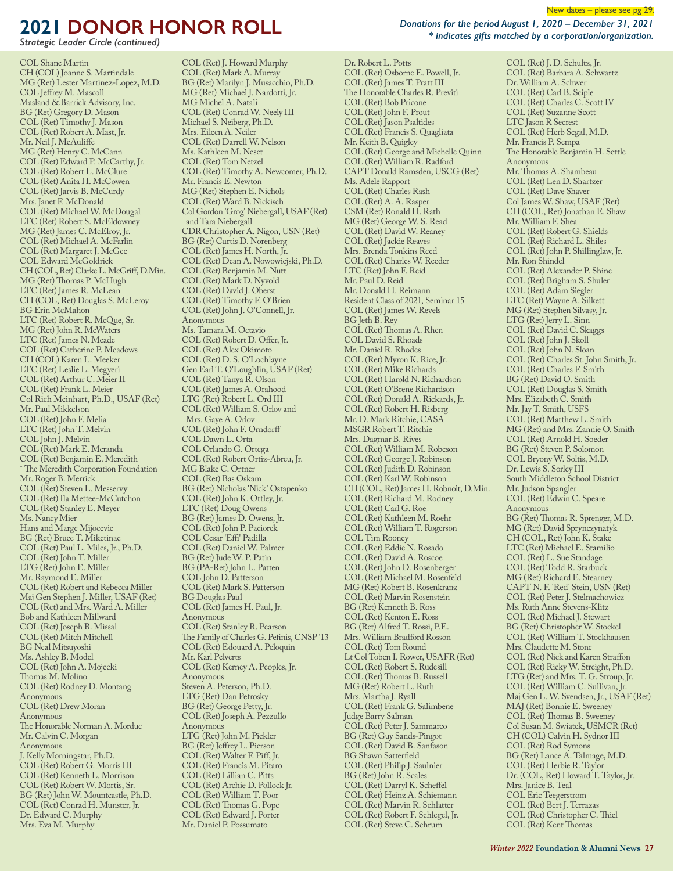*Strategic Leader Circle (continued)*

COL Shane Martin CH (COL) Joanne S. Martindale MG (Ret) Lester Martinez-Lopez, M.D. COL Jeffrey M. Mascoll Masland & Barrick Advisory, Inc. BG (Ret) Gregory D. Mason COL (Ret) Timothy J. Mason COL (Ret) Robert A. Mast, Jr. Mr. Neil J. McAuliffe MG (Ret) Henry C. McCann COL (Ret) Edward P. McCarthy, Jr. COL (Ret) Robert L. McClure COL (Ret) Anita H. McCowen COL (Ret) Jarvis B. McCurdy Mrs. Janet F. McDonald COL (Ret) Michael W. McDougal LTC (Ret) Robert S. McEldowney MG (Ret) James C. McElroy, Jr. COL (Ret) Michael A. McFarlin COL (Ret) Margaret J. McGee COL Edward McGoldrick CH (COL, Ret) Clarke L. McGriff, D.Min. MG (Ret) Thomas P. McHugh LTC (Ret) James R. McLean CH (COL, Ret) Douglas S. McLeroy BG Erin McMahon LTC (Ret) Robert R. McQue, Sr. MG (Ret) John R. McWaters LTC (Ret) James N. Meade COL (Ret) Catherine P. Meadows CH (COL) Karen L. Meeker LTC (Ret) Leslie L. Megyeri COL (Ret) Arthur C. Meier II COL (Ret) Frank L. Meier Col Rich Meinhart, Ph.D., USAF (Ret) Mr. Paul Mikkelson COL (Ret) John F. Melia LTC (Ret) John T. Melvin COL John J. Melvin COL (Ret) Mark E. Meranda COL (Ret) Benjamin E. Meredith \* The Meredith Corporation Foundation Mr. Roger B. Merrick COL (Ret) Steven L. Messervy COL (Ret) Ila Mettee-McCutchon COL (Ret) Stanley E. Meyer Ms. Nancy Mier Hans and Marge Mijocevic BG (Ret) Bruce T. Miketinac COL (Ret) Paul L. Miles, Jr., Ph.D. COL (Ret) John T. Miller LTG (Ret) John E. Miller Mr. Raymond E. Miller COL (Ret) Robert and Rebecca Miller Maj Gen Stephen J. Miller, USAF (Ret) COL (Ret) and Mrs. Ward A. Miller Bob and Kathleen Millward COL (Ret) Joseph B. Missal COL (Ret) Mitch Mitchell BG Neal Mitsuyoshi Ms. Ashley B. Model COL (Ret) John A. Mojecki Thomas M. Molino COL (Ret) Rodney D. Montang Anonymous COL (Ret) Drew Moran Anonymous The Honorable Norman A. Mordue Mr. Calvin C. Morgan Anonymous J. Kelly Morningstar, Ph.D. COL (Ret) Robert G. Morris III COL (Ret) Kenneth L. Morrison COL (Ret) Robert W. Mortis, Sr. BG (Ret) John W. Mountcastle, Ph.D. COL (Ret) Conrad H. Munster, Jr. Dr. Edward C. Murphy Mrs. Eva M. Murphy

COL (Ret) J. Howard Murphy COL (Ret) Mark A. Murray BG (Ret) Marilyn J. Musacchio, Ph.D. MG (Ret) Michael J. Nardotti, Jr. MG Michel A. Natali COL (Ret) Conrad W. Neely III Michael S. Neiberg, Ph.D. Mrs. Eileen A. Neiler COL (Ret) Darrell W. Nelson Ms. Kathleen M. Neset COL (Ret) Tom Netzel COL (Ret) Timothy A. Newcomer, Ph.D. Mr. Francis E. Newton MG (Ret) Stephen E. Nichols COL (Ret) Ward B. Nickisch Col Gordon 'Grog' Niebergall, USAF (Ret) and Tara Niebergall CDR Christopher A. Nigon, USN (Ret) BG (Ret) Curtis D. Norenberg COL (Ret) James H. North, Jr. COL (Ret) Dean A. Nowowiejski, Ph.D. COL (Ret) Benjamin M. Nutt COL (Ret) Mark D. Nyvold COL (Ret) David J. Oberst COL (Ret) Timothy F. O'Brien COL (Ret) John J. O'Connell, Jr. Anonymous Ms. Tamara M. Octavio COL (Ret) Robert D. Offer, Jr. COL (Ret) Alex Okimoto COL (Ret) D. S. O'Lochlayne Gen Earl T. O'Loughlin, USAF (Ret) COL (Ret) Tanya R. Olson COL (Ret) James A. Orahood LTG (Ret) Robert L. Ord III COL (Ret) William S. Orlov and Mrs. Gaye A. Orlov COL (Ret) John F. Orndorff COL Dawn L. Orta COL Orlando G. Ortega COL (Ret) Robert Ortiz-Abreu, Jr. MG Blake C. Ortner COL (Ret) Bas Oskam BG (Ret) Nicholas 'Nick' Ostapenko COL (Ret) John K. Ottley, Jr. LTC (Ret) Doug Owens BG (Ret) James D. Owens, Jr. COL (Ret) John P. Paciorek COL Cesar 'Effi' Padilla COL (Ret) Daniel W. Palmer BG (Ret) Jude W. P. Patin BG (PA-Ret) John L. Patten COL John D. Patterson COL (Ret) Mark S. Patterson BG Douglas Paul COL (Ret) James H. Paul, Jr. Anonymous COL (Ret) Stanley R. Pearson The Family of Charles G. Pefinis, CNSP '13 COL (Ret) Edouard A. Peloquin Mr. Karl Pelverts COL (Ret) Kerney A. Peoples, Jr. Anonymous Steven A. Peterson, Ph.D. LTG (Ret) Dan Petrosky BG (Ret) George Petty, Jr. COL (Ret) Joseph A. Pezzullo Anonymous LTG (Ret) John M. Pickler BG (Ret) Jeffrey L. Pierson COL (Ret) Walter F. Piff, Jr. COL (Ret) Francis M. Pitaro COL (Ret) Lillian C. Pitts COL (Ret) Archie D. Pollock Jr. COL (Ret) William T. Poor COL (Ret) Thomas G. Pope COL (Ret) Edward J. Porter Mr. Daniel P. Possumato

*Donations for the period August 1, 2020 – December 31, 2021 \* indicates gifts matched by a corporation/organization.*

Dr. Robert L. Potts COL (Ret) Osborne E. Powell, Jr. COL (Ret) James T. Pratt III The Honorable Charles R. Previti COL (Ret) Bob Pricone COL (Ret) John F. Prout COL (Ret) Jason Psaltides COL (Ret) Francis S. Quagliata Mr. Keith B. Quigley COL (Ret) George and Michelle Quinn COL (Ret) William R. Radford CAPT Donald Ramsden, USCG (Ret) Ms. Adele Rapport COL (Ret) Charles Rash COL (Ret) A. A. Rasper CSM (Ret) Ronald H. Rath MG (Ret) George W. S. Read COL (Ret) David W. Reaney COL (Ret) Jackie Reaves Mrs. Brenda Tonkins Reed COL (Ret) Charles W. Reeder LTC (Ret) John F. Reid Mr. Paul D. Reid Mr. Donald H. Reimann Resident Class of 2021, Seminar 15 COL (Ret) James W. Revels BG Jeth B. Rey COL (Ret) Thomas A. Rhen COL David S. Rhoads Mr. Daniel R. Rhodes COL (Ret) Myron K. Rice, Jr. COL (Ret) Mike Richards COL (Ret) Harold N. Richardson COL (Ret) O'Brene Richardson COL (Ret) Donald A. Rickards, Jr. COL (Ret) Robert H. Risberg Mr. D. Mark Ritchie, CASA MSGR Robert T. Ritchie Mrs. Dagmar B. Rives COL (Ret) William M. Robeson COL (Ret) George J. Robinson COL (Ret) Judith D. Robinson COL (Ret) Karl W. Robinson CH (COL, Ret) James H. Robnolt, D.Min. COL (Ret) Richard M. Rodney COL (Ret) Carl G. Roe COL (Ret) Kathleen M. Roehr COL (Ret) William T. Rogerson COL Tim Rooney COL (Ret) Eddie N. Rosado COL (Ret) David A. Roscoe COL (Ret) John D. Rosenberger COL (Ret) Michael M. Rosenfeld MG (Ret) Robert B. Rosenkranz COL (Ret) Marvin Rosenstein BG (Ret) Kenneth B. Ross COL (Ret) Kenton E. Ross BG (Ret) Alfred T. Rossi, P.E. Mrs. William Bradford Rosson COL (Ret) Tom Round Lt Col Toben I. Rower, USAFR (Ret) COL (Ret) Robert S. Rudesill COL (Ret) Thomas B. Russell MG (Ret) Robert L. Ruth Mrs. Martha J. Ryall COL (Ret) Frank G. Salimbene Judge Barry Salman COL (Ret) Peter J. Sammarco BG (Ret) Guy Sands-Pingot COL (Ret) David B. Sanfason BG Shawn Satterfield COL (Ret) Philip J. Saulnier BG (Ret) John R. Scales COL (Ret) Darryl K. Scheffel COL (Ret) Heinz A. Schiemann COL (Ret) Marvin R. Schlatter COL (Ret) Robert F. Schlegel, Jr. COL (Ret) Steve C. Schrum

COL (Ret) J. D. Schultz, Jr. COL (Ret) Barbara A. Schwartz Dr. William A. Schwer COL (Ret) Carl B. Sciple COL (Ret) Charles C. Scott IV COL (Ret) Suzanne Scott LTC Jason R Secrest COL (Ret) Herb Segal, M.D. Mr. Francis P. Sempa The Honorable Benjamin H. Settle Anonymous Mr. Thomas A. Shambeau COL (Ret) Len D. Shartzer COL (Ret) Dave Shaver Col James W. Shaw, USAF (Ret) CH (COL, Ret) Jonathan E. Shaw Mr. William F. Shea COL (Ret) Robert G. Shields COL (Ret) Richard L. Shiles COL (Ret) John P. Shillinglaw, Jr. Mr. Ron Shindel COL (Ret) Alexander P. Shine COL (Ret) Brigham S. Shuler COL (Ret) Adam Siegler LTC (Ret) Wayne A. Silkett MG (Ret) Stephen Silvasy, Jr. LTG (Ret) Jerry L. Sinn COL (Ret) David C. Skaggs COL (Ret) John J. Skoll COL (Ret) John N. Sloan COL (Ret) Charles St. John Smith, Jr. COL (Ret) Charles F. Smith BG (Ret) David O. Smith COL (Ret) Douglas S. Smith Mrs. Elizabeth C. Smith Mr. Jay T. Smith, USFS COL (Ret) Matthew L. Smith MG (Ret) and Mrs. Zannie O. Smith COL (Ret) Arnold H. Soeder BG (Ret) Steven P. Solomon COL Bryony W. Soltis, M.D. Dr. Lewis S. Sorley III South Middleton School District Mr. Judson Spangler COL (Ret) Edwin C. Speare Anonymous BG (Ret) Thomas R. Sprenger, M.D. MG (Ret) David Sprynczynatyk CH (COL, Ret) John K. Stake LTC (Ret) Michael E. Stamilio COL (Ret) L. Sue Standage COL (Ret) Todd R. Starbuck MG (Ret) Richard E. Stearney CAPT N. F. 'Red' Stein, USN (Ret) COL (Ret) Peter J. Stelmachowicz Ms. Ruth Anne Stevens-Klitz COL (Ret) Michael J. Stewart BG (Ret) Christopher W. Stockel COL (Ret) William T. Stockhausen Mrs. Claudette M. Stone COL (Ret) Nick and Karen Straffon COL (Ret) Ricky W. Streight, Ph.D. LTG (Ret) and Mrs. T. G. Stroup, Jr. COL (Ret) William C. Sullivan, Jr. Maj Gen L. W. Svendsen, Jr., USAF (Ret) MAJ (Ret) Bonnie E. Sweeney COL (Ret) Thomas B. Sweeney Col Susan M. Swiatek, USMCR (Ret) CH (COL) Calvin H. Sydnor III COL (Ret) Rod Symons BG (Ret) Lance A. Talmage, M.D. COL (Ret) Herbie R. Taylor Dr. (COL, Ret) Howard T. Taylor, Jr. Mrs. Janice B. Teal COL Eric Teegerstrom COL (Ret) Bert J. Terrazas COL (Ret) Christopher C. Thiel COL (Ret) Kent Thomas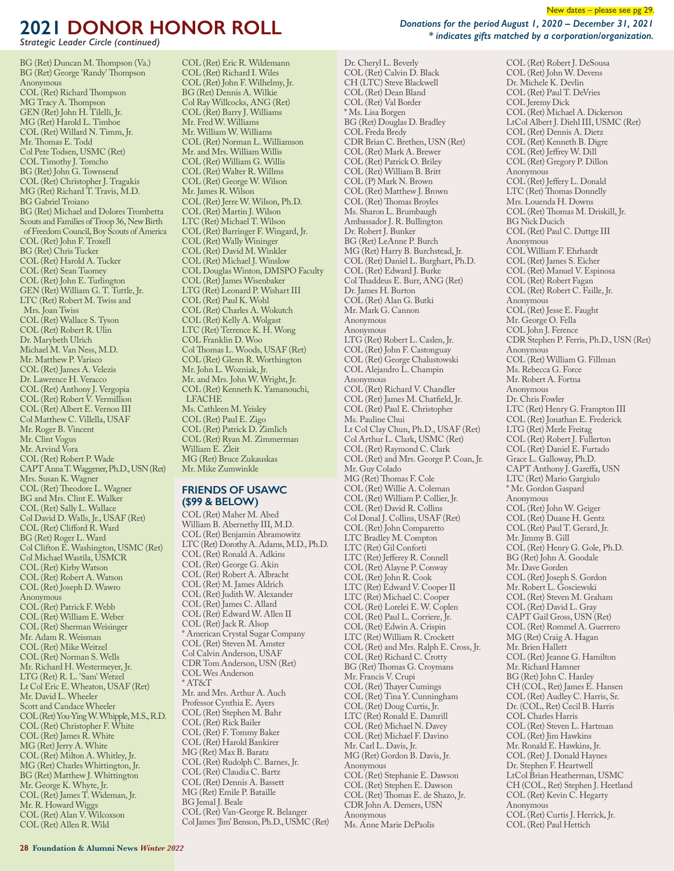*Strategic Leader Circle (continued)*

BG (Ret) Duncan M. Thompson (Va.) BG (Ret) George 'Randy' Thompson Anonymous COL (Ret) Richard Thompson MG Tracy A. Thompson GEN (Ret) John H. Tilelli, Jr. MG (Ret) Harold L. Timboe COL (Ret) Willard N. Timm, Jr. Mr. Thomas E. Todd Col Pete Todsen, USMC (Ret) COL Timothy J. Tomcho BG (Ret) John G. Townsend COL (Ret) Christopher J. Tragakis MG (Ret) Richard T. Travis, M.D. BG Gabriel Troiano BG (Ret) Michael and Dolores Trombetta Scouts and Families of Troop 36, New Birth of Freedom Council, Boy Scouts of America COL (Ret) John F. Troxell BG (Ret) Chris Tucker COL (Ret) Harold A. Tucker COL (Ret) Sean Tuomey COL (Ret) John E. Turlington GEN (Ret) William G. T. Tuttle, Jr. LTC (Ret) Robert M. Twiss and Mrs. Joan Twiss COL (Ret) Wallace S. Tyson COL (Ret) Robert R. Ulin Dr. Marybeth Ulrich Michael M. Van Ness, M.D. Mr. Matthew P. Varisco COL (Ret) James A. Velezis Dr. Lawrence H. Veracco COL (Ret) Anthony J. Vergopia COL (Ret) Robert V. Vermillion COL (Ret) Albert E. Vernon III Col Matthew C. Villella, USAF Mr. Roger B. Vincent Mr. Clint Vogus Mr. Arvind Vora COL (Ret) Robert P. Wade CAPT Anna T. Waggener, Ph.D., USN (Ret) Mrs. Susan K. Wagner COL (Ret) Theodore L. Wagner BG and Mrs. Clint E. Walker COL (Ret) Sally L. Wallace Col David D. Walls, Jr., USAF (Ret) COL (Ret) Clifford R. Ward BG (Ret) Roger L. Ward Col Clifton E. Washington, USMC (Ret) Col Michael Wastila, USMCR COL (Ret) Kirby Watson COL (Ret) Robert A. Watson COL (Ret) Joseph D. Wawro Anonymous COL (Ret) Patrick F. Webb COL (Ret) William E. Weber COL (Ret) Sherman Weisinger Mr. Adam R. Weisman COL (Ret) Mike Weitzel COL (Ret) Norman S. Wells Mr. Richard H. Westermeyer, Jr. LTG (Ret) R. L. 'Sam' Wetzel Lt Col Eric E. Wheaton, USAF (Ret) Mr. David L. Wheeler Scott and Candace Wheeler COL (Ret) You-Ying W. Whipple, M.S., R.D. COL (Ret) Christopher F. White COL (Ret) James R. White MG (Ret) Jerry A. White COL (Ret) Milton A. Whitley, Jr. MG (Ret) Charles Whittington, Jr. BG (Ret) Matthew J. Whittington Mr. George K. Whyte, Jr. COL (Ret) James T. Wideman, Jr. Mr. R. Howard Wiggs COL (Ret) Alan V. Wilcoxson COL (Ret) Allen R. Wild

COL (Ret) Eric R. Wildemann COL (Ret) Richard I. Wiles COL (Ret) John F. Wilhelmy, Jr. BG (Ret) Dennis A. Wilkie Col Ray Willcocks, ANG (Ret) COL (Ret) Barry J. Williams Mr. Fred W. Williams Mr. William W. Williams COL (Ret) Norman L. Williamson Mr. and Mrs. William Willis COL (Ret) William G. Willis COL (Ret) Walter R. Willms COL (Ret) George W. Wilson Mr. James R. Wilson COL (Ret) Jerre W. Wilson, Ph.D. COL (Ret) Martin J. Wilson LTC (Ret) Michael T. Wilson COL (Ret) Barringer F. Wingard, Jr. COL (Ret) Wally Wininger COL (Ret) David M. Winkler COL (Ret) Michael J. Winslow COL Douglas Winton, DMSPO Faculty COL (Ret) James Wisenbaker LTG (Ret) Leonard P. Wishart III COL (Ret) Paul K. Wohl COL (Ret) Charles A. Wokutch COL (Ret) Kelly A. Wolgast LTC (Ret) Terrence K. H. Wong COL Franklin D. Woo Col Thomas L. Woods, USAF (Ret) COL (Ret) Glenn R. Worthington Mr. John L. Wozniak, Jr. Mr. and Mrs. John W. Wright, Jr. COL (Ret) Kenneth K. Yamanouchi, LFACHE Ms. Cathleen M. Yeisley COL (Ret) Paul E. Zigo COL (Ret) Patrick D. Zimlich COL (Ret) Ryan M. Zimmerman William E. Zleit MG (Ret) Bruce Zukauskas Mr. Mike Zumwinkle

#### **FRIENDS OF USAWC (\$99 & BELOW)**

COL (Ret) Maher M. Abed William B. Abernethy III, M.D. COL (Ret) Benjamin Abramowitz LTC (Ret) Dorothy A. Adams, M.D., Ph.D. COL (Ret) Ronald A. Adkins COL (Ret) George G. Akin COL (Ret) Robert A. Albracht COL (Ret) M. James Aldrich COL (Ret) Judith W. Alexander COL (Ret) James C. Allard COL (Ret) Edward W. Allen II COL (Ret) Jack R. Alsop \* American Crystal Sugar Company COL (Ret) Steven M. Amster Col Calvin Anderson, USAF CDR Tom Anderson, USN (Ret) COL Wes Anderson \* AT&T Mr. and Mrs. Arthur A. Auch Professor Cynthia E. Ayers COL (Ret) Stephen M. Bahr COL (Ret) Rick Bailer COL (Ret) F. Tommy Baker COL (Ret) Harold Bankirer MG (Ret) Max B. Baratz COL (Ret) Rudolph C. Barnes, Jr. COL (Ret) Claudia C. Bartz COL (Ret) Dennis A. Bassett MG (Ret) Emile P. Bataille BG Jemal J. Beale COL (Ret) Van-George R. Belanger Col James 'Jim' Benson, Ph.D., USMC (Ret) New dates – please see pg 29.

Dr. Cheryl L. Beverly COL (Ret) Calvin D. Black CH (LTC) Steve Blackwell COL (Ret) Dean Bland COL (Ret) Val Border \* Ms. Lisa Borgen BG (Ret) Douglas D. Bradley COL Freda Bredy CDR Brian C. Brethen, USN (Ret) COL (Ret) Mark A. Brewer COL (Ret) Patrick O. Briley COL (Ret) William B. Britt COL (P) Mark N. Brown COL (Ret) Matthew J. Brown COL (Ret) Thomas Broyles Ms. Sharon L. Brumbaugh Ambassador J. R. Bullington Dr. Robert J. Bunker BG (Ret) LeAnne P. Burch MG (Ret) Harry B. Burchstead, Jr. COL (Ret) Daniel L. Burghart, Ph.D. COL (Ret) Edward J. Burke Col Thaddeus E. Burr, ANG (Ret) Dr. James H. Burton COL (Ret) Alan G. Butki Mr. Mark G. Cannon Anonymous Anonymous LTG (Ret) Robert L. Caslen, Jr. COL (Ret) John F. Castonguay COL (Ret) George Chalustowski COL Alejandro L. Champin Anonymous COL (Ret) Richard V. Chandler COL (Ret) James M. Chatfield, Jr. COL (Ret) Paul E. Christopher Ms. Pauline Chui Lt Col Clay Chun, Ph.D., USAF (Ret) Col Arthur L. Clark, USMC (Ret) COL (Ret) Raymond C. Clark COL (Ret) and Mrs. George P. Coan, Jr. Mr. Guy Colado MG (Ret) Thomas F. Cole COL (Ret) Willie A. Coleman COL (Ret) William P. Collier, Jr. COL (Ret) David R. Collins Col Donal J. Collins, USAF (Ret) COL (Ret) John Comparetto LTC Bradley M. Compton LTC (Ret) Gil Conforti LTC (Ret) Jefferey R. Connell COL (Ret) Alayne P. Conway COL (Ret) John R. Cook LTC (Ret) Edward V. Cooper II LTC (Ret) Michael C. Cooper COL (Ret) Lorelei E. W. Coplen COL (Ret) Paul L. Corriere, Jr. COL (Ret) Edwin A. Crispin LTC (Ret) William R. Crockett COL (Ret) and Mrs. Ralph E. Cross, Jr. COL (Ret) Richard C. Crotty BG (Ret) Thomas G. Croymans Mr. Francis V. Crupi COL (Ret) Thayer Cumings COL (Ret) Tina Y. Cunningham COL (Ret) Doug Curtis, Jr. LTC (Ret) Ronald E. Damrill COL (Ret) Michael N. Davey COL (Ret) Michael F. Davino Mr. Carl L. Davis, Jr. MG (Ret) Gordon B. Davis, Jr. Anonymous COL (Ret) Stephanie E. Dawson COL (Ret) Stephen E. Dawson COL (Ret) Thomas E. de Shazo, Jr. CDR John A. Demers, USN Anonymous Ms. Anne Marie DePaolis

COL (Ret) Robert J. DeSousa COL (Ret) John W. Devens Dr. Michele K. Devlin COL (Ret) Paul T. DeVries COL Jeremy Dick COL (Ret) Michael A. Dickerson LtCol Albert J. Diehl III, USMC (Ret) COL (Ret) Dennis A. Dietz COL (Ret) Kenneth B. Digre COL (Ret) Jeffrey W. Dill COL (Ret) Gregory P. Dillon Anonymous COL (Ret) Jeffery L. Donald LTC (Ret) Thomas Donnelly Mrs. Louenda H. Downs COL (Ret) Thomas M. Driskill, Jr. BG Nick Ducich COL (Ret) Paul C. Duttge III Anonymous COL William F. Ehrhardt COL (Ret) James S. Eicher COL (Ret) Manuel V. Espinosa COL (Ret) Robert Fagan COL (Ret) Robert C. Faille, Jr. Anonymous COL (Ret) Jesse E. Faught Mr. George O. Fella COL John J. Ference CDR Stephen P. Ferris, Ph.D., USN (Ret) Anonymous COL (Ret) William G. Fillman Ms. Rebecca G. Force Mr. Robert A. Fortna Anonymous Dr. Chris Fowler LTC (Ret) Henry G. Frampton III COL (Ret) Jonathan E. Frederick LTG (Ret) Merle Freitag COL (Ret) Robert J. Fullerton COL (Ret) Daniel E. Furtado Grace L. Galloway, Ph.D. CAPT Anthony J. Gareffa, USN LTC (Ret) Mario Gargiulo \* Mr. Gordon Gaspard Anonymous COL (Ret) John W. Geiger COL (Ret) Duane H. Gentz COL (Ret) Paul T. Gerard, Jr. Mr. Jimmy B. Gill COL (Ret) Henry G. Gole, Ph.D. BG (Ret) John A. Goodale Mr. Dave Gorden COL (Ret) Joseph S. Gordon Mr. Robert L. Gosciewski COL (Ret) Steven M. Graham COL (Ret) David L. Gray CAPT Gail Gross, USN (Ret) COL (Ret) Rommel A. Guerrero MG (Ret) Craig A. Hagan Mr. Brien Hallett COL (Ret) Jeanne G. Hamilton Mr. Richard Hamner BG (Ret) John C. Hanley CH (COL, Ret) James E. Hansen COL (Ret) Audley C. Harris, Sr. Dr. (COL, Ret) Cecil B. Harris COL Charles Harris COL (Ret) Steven L. Hartman COL (Ret) Jim Hawkins Mr. Ronald E. Hawkins, Jr. COL (Ret) J. Donald Haynes Dr. Stephen F. Heartwell LtCol Brian Heatherman, USMC CH (COL, Ret) Stephen J. Heetland COL (Ret) Kevin C. Hegarty Anonymous COL (Ret) Curtis J. Herrick, Jr. COL (Ret) Paul Hettich